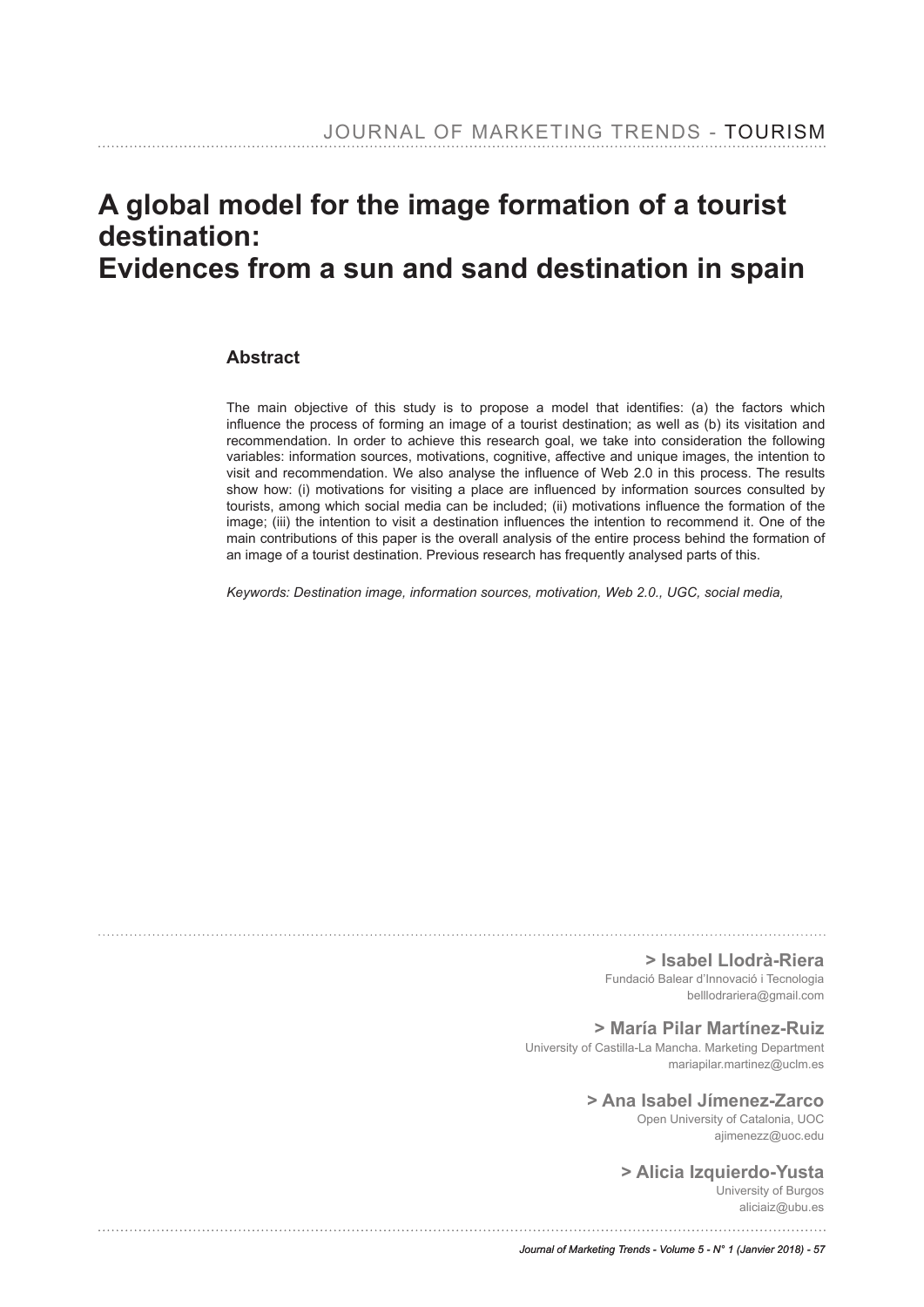# **A global model for the image formation of a tourist destination: Evidences from a sun and sand destination in spain**

#### **Abstract**

The main objective of this study is to propose a model that identifes: (a) the factors which infuence the process of forming an image of a tourist destination; as well as (b) its visitation and recommendation. In order to achieve this research goal, we take into consideration the following variables: information sources, motivations, cognitive, affective and unique images, the intention to visit and recommendation. We also analyse the infuence of Web 2.0 in this process. The results show how: (i) motivations for visiting a place are infuenced by information sources consulted by tourists, among which social media can be included; (ii) motivations infuence the formation of the image; (iii) the intention to visit a destination infuences the intention to recommend it. One of the main contributions of this paper is the overall analysis of the entire process behind the formation of an image of a tourist destination. Previous research has frequently analysed parts of this.

*Keywords: Destination image, information sources, motivation, Web 2.0., UGC, social media,*

**> Isabel Llodrà-Riera**

Fundació Balear d'Innovació i Tecnologia belllodrariera@gmail.com

#### **> María Pilar Martínez-Ruiz**

University of Castilla-La Mancha. Marketing Department mariapilar.martinez@uclm.es

#### **> Ana Isabel Jímenez-Zarco**

Open University of Catalonia, UOC ajimenezz@uoc.edu

#### **> Alicia Izquierdo-Yusta**

University of Burgos aliciaiz@ubu.es

*Journal of Marketing Trends - Volume 5 - N° 1 (Janvier 2018) - 57*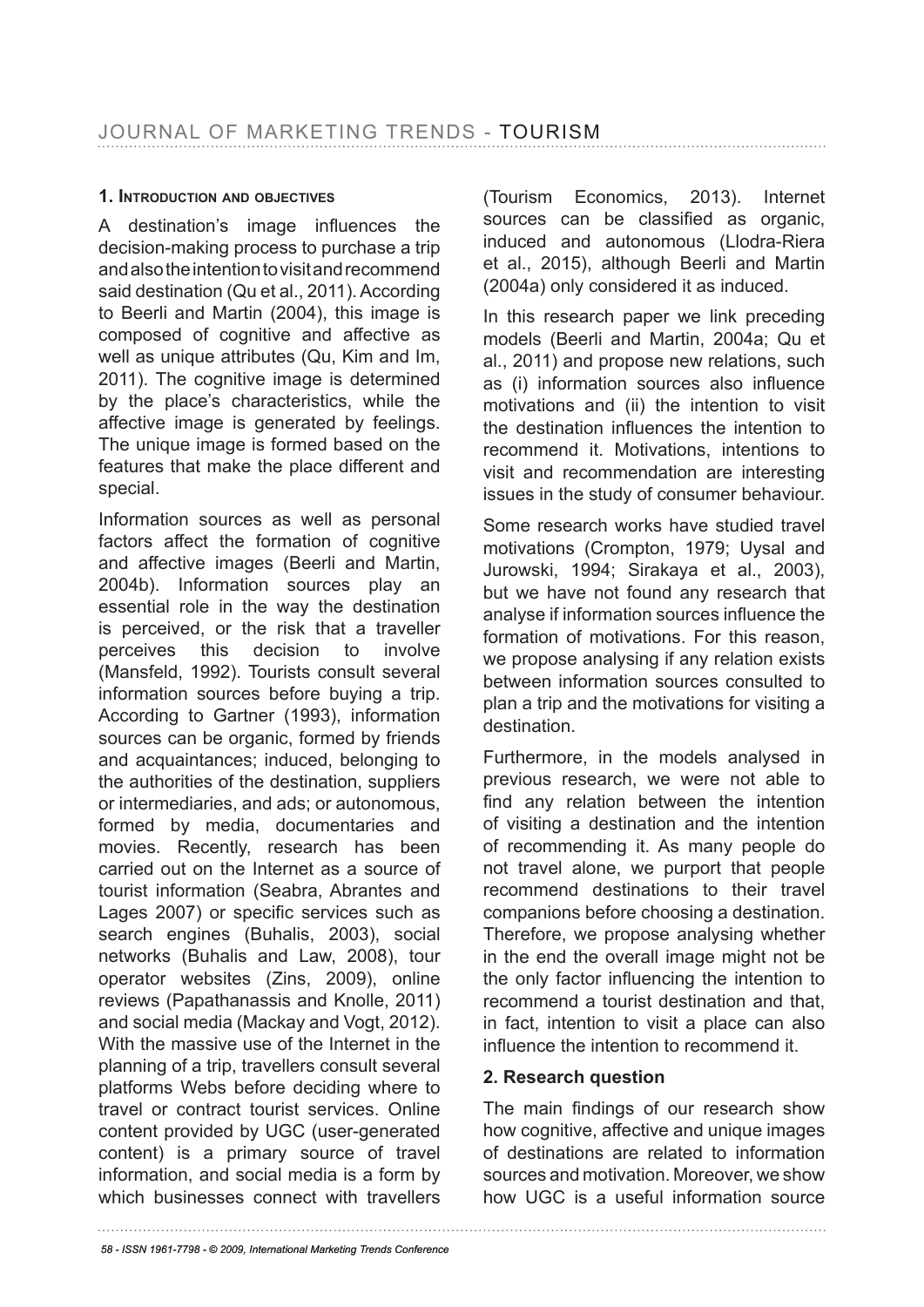### **1. introDuction anD oBjEctivEs**

A destination's image infuences the decision-making process to purchase a trip and also the intention to visit and recommend said destination (Qu et al., 2011). According to Beerli and Martin (2004), this image is composed of cognitive and affective as well as unique attributes (Qu, Kim and Im, 2011). The cognitive image is determined by the place's characteristics, while the affective image is generated by feelings. The unique image is formed based on the features that make the place different and special.

Information sources as well as personal factors affect the formation of cognitive and affective images (Beerli and Martin, 2004b). Information sources play an essential role in the way the destination is perceived, or the risk that a traveller perceives this decision to involve (Mansfeld, 1992). Tourists consult several information sources before buying a trip. According to Gartner (1993), information sources can be organic, formed by friends and acquaintances; induced, belonging to the authorities of the destination, suppliers or intermediaries, and ads; or autonomous, formed by media, documentaries and movies. Recently, research has been carried out on the Internet as a source of tourist information (Seabra, Abrantes and Lages 2007) or specific services such as search engines (Buhalis, 2003), social networks (Buhalis and Law, 2008), tour operator websites (Zins, 2009), online reviews (Papathanassis and Knolle, 2011) and social media (Mackay and Vogt, 2012). With the massive use of the Internet in the planning of a trip, travellers consult several platforms Webs before deciding where to travel or contract tourist services. Online content provided by UGC (user-generated content) is a primary source of travel information, and social media is a form by which businesses connect with travellers

(Tourism Economics, 2013). Internet sources can be classifed as organic, induced and autonomous (Llodra-Riera et al., 2015), although Beerli and Martin (2004a) only considered it as induced.

In this research paper we link preceding models (Beerli and Martin, 2004a; Qu et al., 2011) and propose new relations, such as (i) information sources also infuence motivations and (ii) the intention to visit the destination infuences the intention to recommend it. Motivations, intentions to visit and recommendation are interesting issues in the study of consumer behaviour.

Some research works have studied travel motivations (Crompton, 1979; Uysal and Jurowski, 1994; Sirakaya et al., 2003), but we have not found any research that analyse if information sources infuence the formation of motivations. For this reason, we propose analysing if any relation exists between information sources consulted to plan a trip and the motivations for visiting a destination.

Furthermore, in the models analysed in previous research, we were not able to find any relation between the intention of visiting a destination and the intention of recommending it. As many people do not travel alone, we purport that people recommend destinations to their travel companions before choosing a destination. Therefore, we propose analysing whether in the end the overall image might not be the only factor infuencing the intention to recommend a tourist destination and that, in fact, intention to visit a place can also infuence the intention to recommend it.

### **2. Research question**

The main findings of our research show how cognitive, affective and unique images of destinations are related to information sources and motivation. Moreover, we show how UGC is a useful information source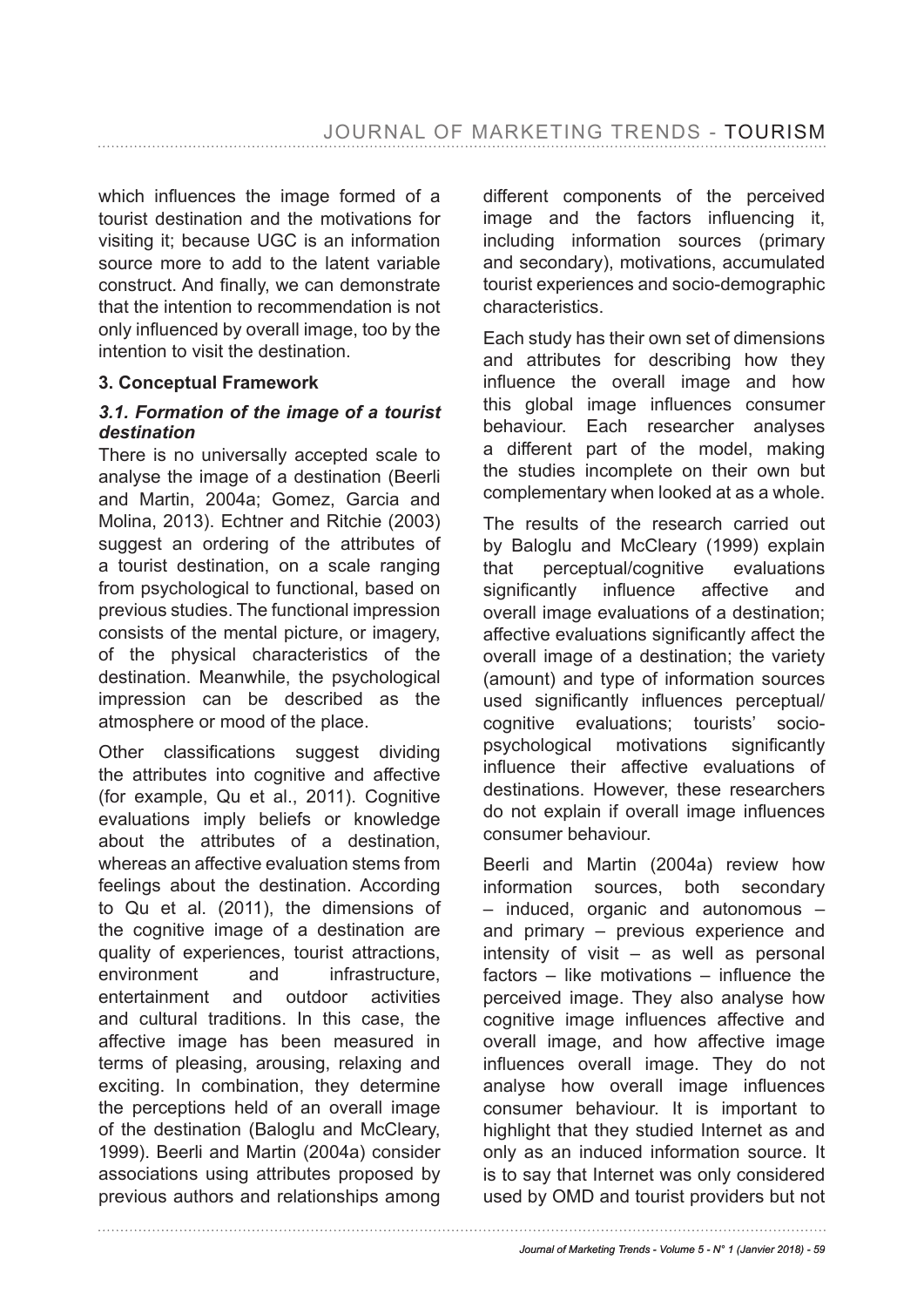which infuences the image formed of a tourist destination and the motivations for visiting it; because UGC is an information source more to add to the latent variable construct. And finally, we can demonstrate that the intention to recommendation is not only infuenced by overall image, too by the intention to visit the destination.

#### **3. Conceptual Framework**

### *3.1. Formation of the image of a tourist destination*

There is no universally accepted scale to analyse the image of a destination (Beerli and Martin, 2004a; Gomez, Garcia and Molina, 2013). Echtner and Ritchie (2003) suggest an ordering of the attributes of a tourist destination, on a scale ranging from psychological to functional, based on previous studies. The functional impression consists of the mental picture, or imagery, of the physical characteristics of the destination. Meanwhile, the psychological impression can be described as the atmosphere or mood of the place.

Other classifications suggest dividing the attributes into cognitive and affective (for example, Qu et al., 2011). Cognitive evaluations imply beliefs or knowledge about the attributes of a destination, whereas an affective evaluation stems from feelings about the destination. According to Qu et al. (2011), the dimensions of the cognitive image of a destination are quality of experiences, tourist attractions, environment and infrastructure, entertainment and outdoor activities and cultural traditions. In this case, the affective image has been measured in terms of pleasing, arousing, relaxing and exciting. In combination, they determine the perceptions held of an overall image of the destination (Baloglu and McCleary, 1999). Beerli and Martin (2004a) consider associations using attributes proposed by previous authors and relationships among different components of the perceived image and the factors infuencing it, including information sources (primary and secondary), motivations, accumulated tourist experiences and socio-demographic characteristics.

Each study has their own set of dimensions and attributes for describing how they infuence the overall image and how this global image infuences consumer behaviour. Each researcher analyses a different part of the model, making the studies incomplete on their own but complementary when looked at as a whole.

The results of the research carried out by Baloglu and McCleary (1999) explain that perceptual/cognitive evaluations significantly influence affective and overall image evaluations of a destination; affective evaluations significantly affect the overall image of a destination; the variety (amount) and type of information sources used signifcantly infuences perceptual/ cognitive evaluations; tourists' sociopsychological motivations signifcantly infuence their affective evaluations of destinations. However, these researchers do not explain if overall image infuences consumer behaviour.

Beerli and Martin (2004a) review how information sources, both secondary – induced, organic and autonomous – and primary – previous experience and intensity of visit – as well as personal factors – like motivations – infuence the perceived image. They also analyse how cognitive image infuences affective and overall image, and how affective image infuences overall image. They do not analyse how overall image infuences consumer behaviour. It is important to highlight that they studied Internet as and only as an induced information source. It is to say that Internet was only considered used by OMD and tourist providers but not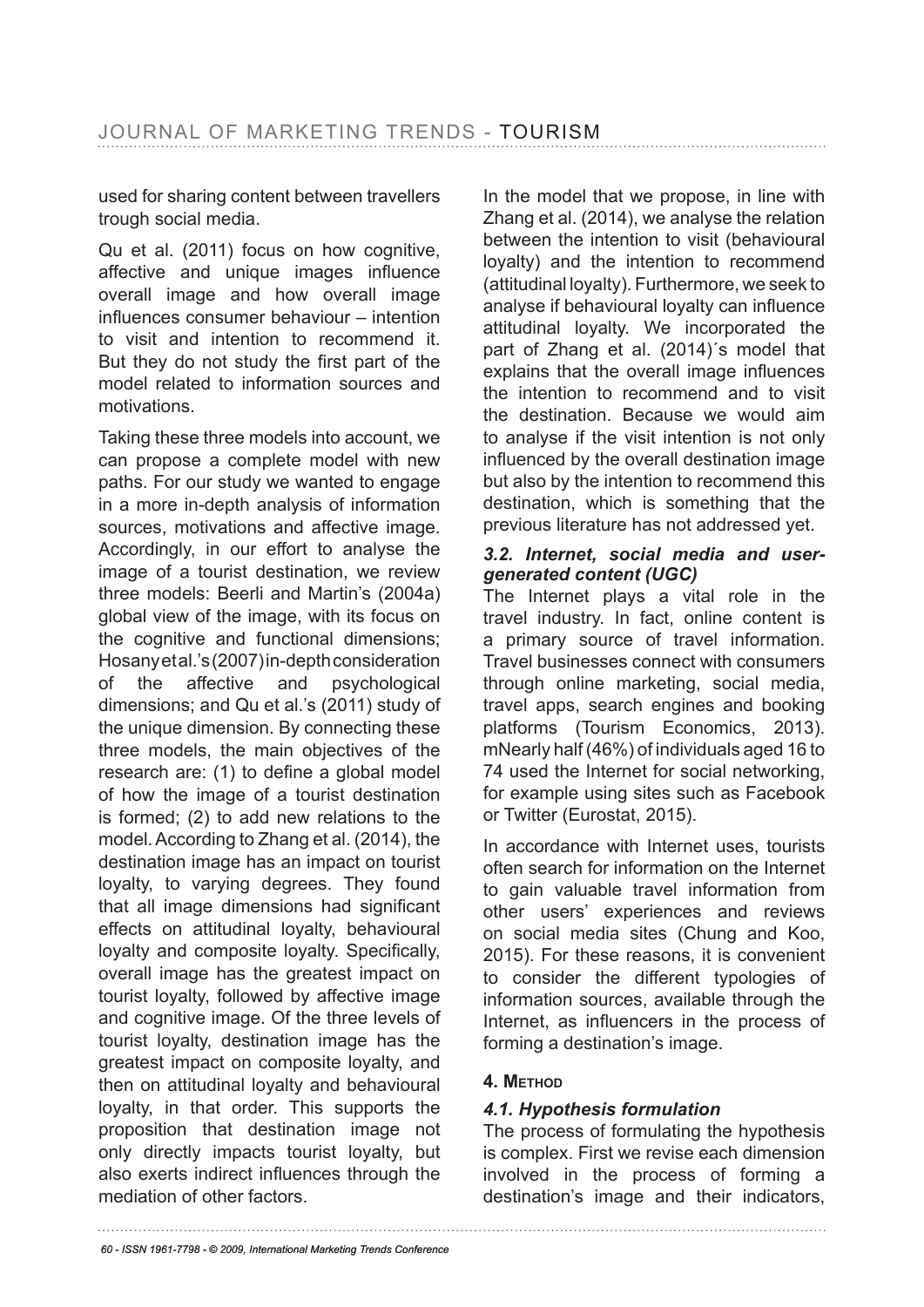used for sharing content between travellers trough social media.

Qu et al. (2011) focus on how cognitive, affective and unique images infuence overall image and how overall image infuences consumer behaviour – intention to visit and intention to recommend it. But they do not study the first part of the model related to information sources and motivations.

Taking these three models into account, we can propose a complete model with new paths. For our study we wanted to engage in a more in-depth analysis of information sources, motivations and affective image. Accordingly, in our effort to analyse the image of a tourist destination, we review three models: Beerli and Martin's (2004a) global view of the image, with its focus on the cognitive and functional dimensions; Hosany et al.'s (2007) in-depth consideration of the affective and psychological dimensions; and Qu et al.'s (2011) study of the unique dimension. By connecting these three models, the main objectives of the research are: (1) to defne a global model of how the image of a tourist destination is formed; (2) to add new relations to the model. According to Zhang et al. (2014), the destination image has an impact on tourist loyalty, to varying degrees. They found that all image dimensions had signifcant effects on attitudinal loyalty, behavioural loyalty and composite loyalty. Specifically, overall image has the greatest impact on tourist loyalty, followed by affective image and cognitive image. Of the three levels of tourist loyalty, destination image has the greatest impact on composite loyalty, and then on attitudinal loyalty and behavioural loyalty, in that order. This supports the proposition that destination image not only directly impacts tourist loyalty, but also exerts indirect infuences through the mediation of other factors.

In the model that we propose, in line with Zhang et al. (2014), we analyse the relation between the intention to visit (behavioural loyalty) and the intention to recommend (attitudinal loyalty). Furthermore, we seek to analyse if behavioural loyalty can infuence attitudinal loyalty. We incorporated the part of Zhang et al. (2014)´s model that explains that the overall image infuences the intention to recommend and to visit the destination. Because we would aim to analyse if the visit intention is not only infuenced by the overall destination image but also by the intention to recommend this destination, which is something that the previous literature has not addressed yet.

#### *3.2. Internet, social media and usergenerated content (UGC)*

The Internet plays a vital role in the travel industry. In fact, online content is a primary source of travel information. Travel businesses connect with consumers through online marketing, social media, travel apps, search engines and booking platforms (Tourism Economics, 2013). mNearly half (46%) of individuals aged 16 to 74 used the Internet for social networking, for example using sites such as Facebook or Twitter (Eurostat, 2015).

In accordance with Internet uses, tourists often search for information on the Internet to gain valuable travel information from other users' experiences and reviews on social media sites (Chung and Koo, 2015). For these reasons, it is convenient to consider the different typologies of information sources, available through the Internet, as infuencers in the process of forming a destination's image.

### **4. mEthoD**

### *4.1. Hypothesis formulation*

The process of formulating the hypothesis is complex. First we revise each dimension involved in the process of forming a destination's image and their indicators,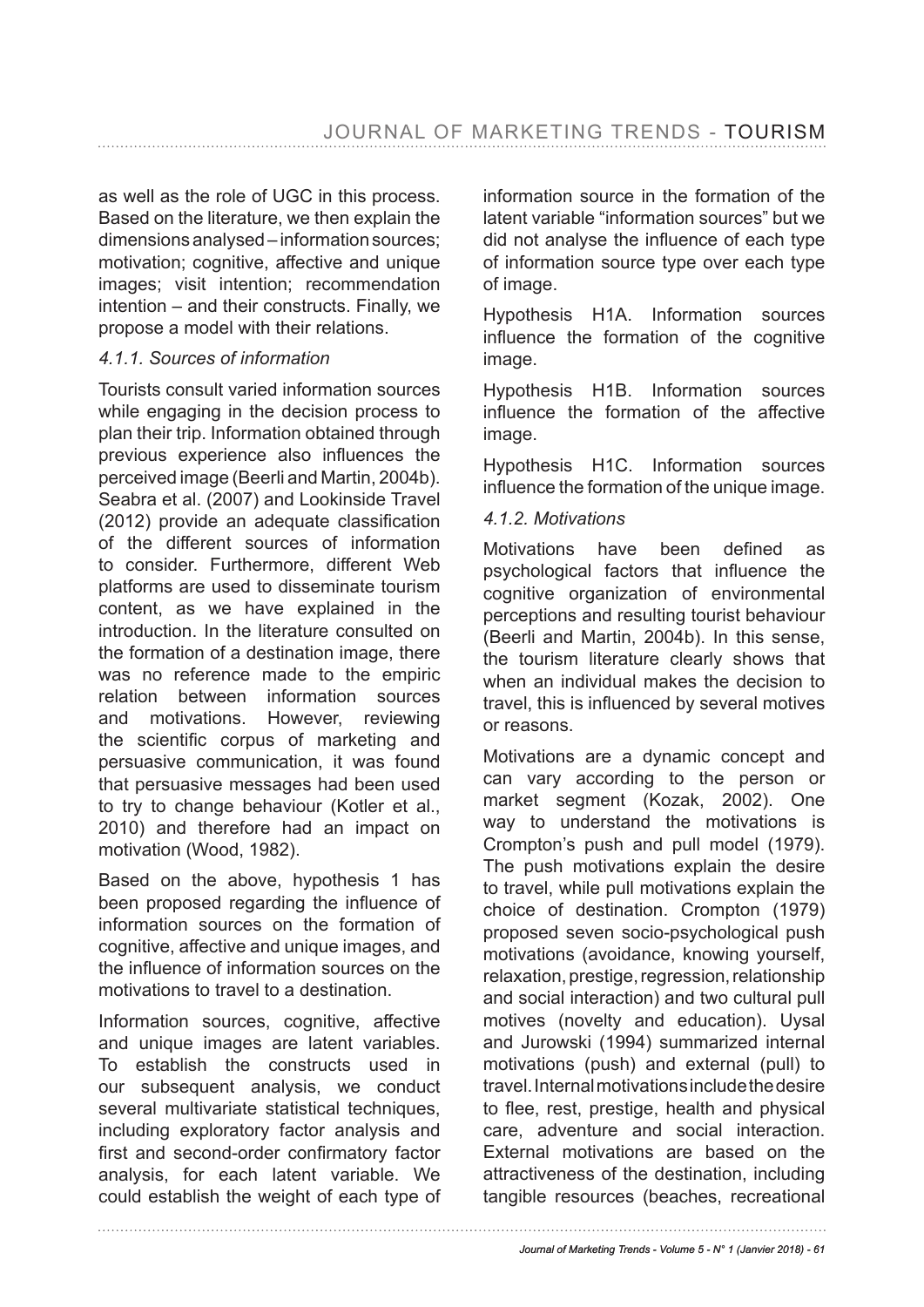as well as the role of UGC in this process. Based on the literature, we then explain the dimensions analysed – information sources; motivation; cognitive, affective and unique images; visit intention; recommendation intention – and their constructs. Finally, we propose a model with their relations.

### *4.1.1. Sources of information*

Tourists consult varied information sources while engaging in the decision process to plan their trip. Information obtained through previous experience also infuences the perceived image (Beerli and Martin, 2004b). Seabra et al. (2007) and Lookinside Travel (2012) provide an adequate classifcation of the different sources of information to consider. Furthermore, different Web platforms are used to disseminate tourism content, as we have explained in the introduction. In the literature consulted on the formation of a destination image, there was no reference made to the empiric relation between information sources and motivations. However, reviewing the scientifc corpus of marketing and persuasive communication, it was found that persuasive messages had been used to try to change behaviour (Kotler et al., 2010) and therefore had an impact on motivation (Wood, 1982).

Based on the above, hypothesis 1 has been proposed regarding the infuence of information sources on the formation of cognitive, affective and unique images, and the infuence of information sources on the motivations to travel to a destination.

Information sources, cognitive, affective and unique images are latent variables. To establish the constructs used in our subsequent analysis, we conduct several multivariate statistical techniques, including exploratory factor analysis and frst and second-order confrmatory factor analysis, for each latent variable. We could establish the weight of each type of information source in the formation of the latent variable "information sources" but we did not analyse the infuence of each type of information source type over each type of image.

Hypothesis H1A. Information sources infuence the formation of the cognitive image.

Hypothesis H1B. Information sources infuence the formation of the affective image.

Hypothesis H1C. Information sources infuence the formation of the unique image.

### *4.1.2. Motivations*

Motivations have been defined as psychological factors that infuence the cognitive organization of environmental perceptions and resulting tourist behaviour (Beerli and Martin, 2004b). In this sense, the tourism literature clearly shows that when an individual makes the decision to travel, this is infuenced by several motives or reasons.

Motivations are a dynamic concept and can vary according to the person or market segment (Kozak, 2002). One way to understand the motivations is Crompton's push and pull model (1979). The push motivations explain the desire to travel, while pull motivations explain the choice of destination. Crompton (1979) proposed seven socio-psychological push motivations (avoidance, knowing yourself, relaxation, prestige, regression, relationship and social interaction) and two cultural pull motives (novelty and education). Uysal and Jurowski (1994) summarized internal motivations (push) and external (pull) to travel. Internal motivations include the desire to flee, rest, prestige, health and physical care, adventure and social interaction. External motivations are based on the attractiveness of the destination, including tangible resources (beaches, recreational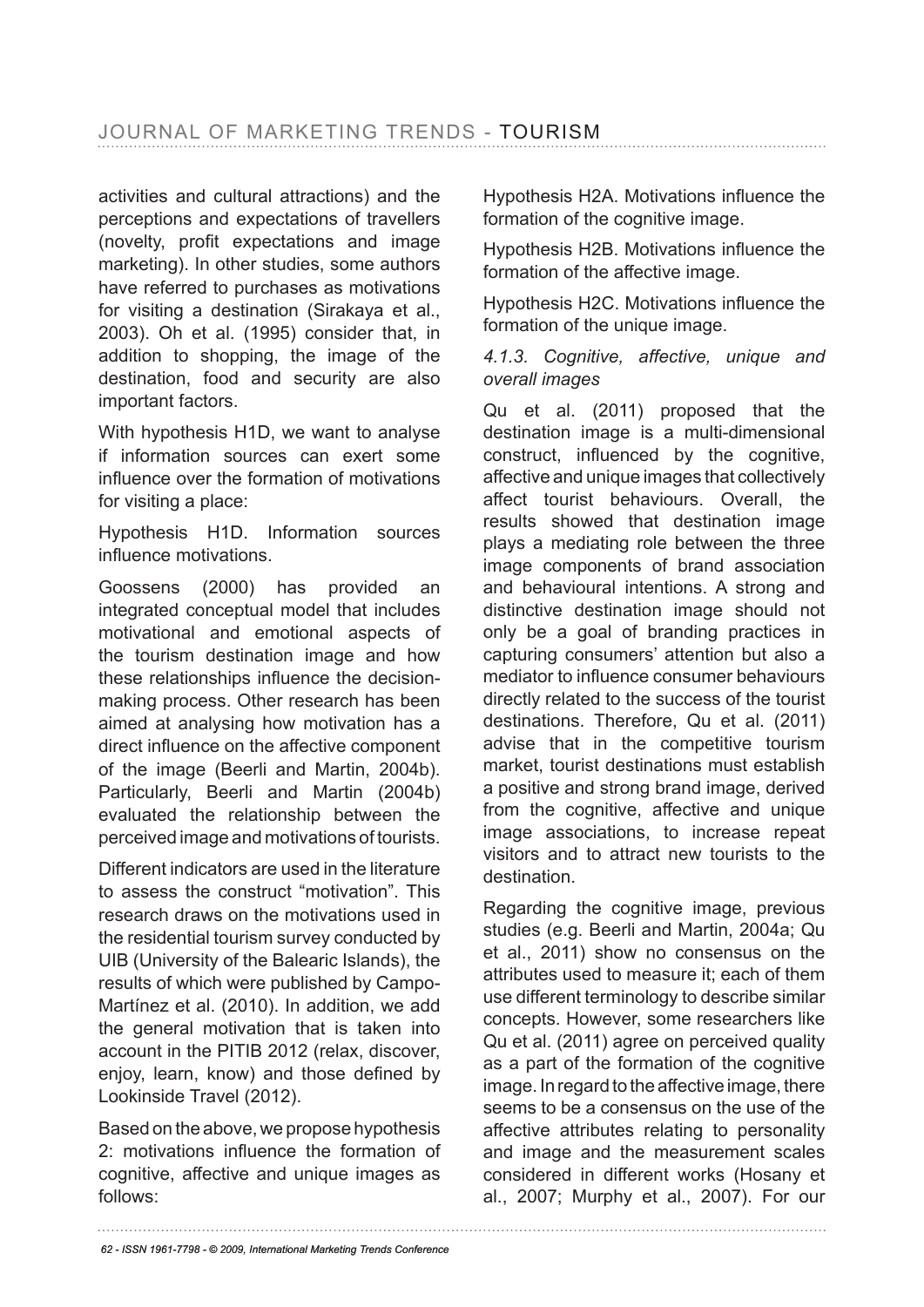activities and cultural attractions) and the perceptions and expectations of travellers (novelty, proft expectations and image marketing). In other studies, some authors have referred to purchases as motivations for visiting a destination (Sirakaya et al., 2003). Oh et al. (1995) consider that, in addition to shopping, the image of the destination, food and security are also important factors.

With hypothesis H1D, we want to analyse if information sources can exert some infuence over the formation of motivations for visiting a place:

Hypothesis H1D. Information sources infuence motivations.

Goossens (2000) has provided an integrated conceptual model that includes motivational and emotional aspects of the tourism destination image and how these relationships infuence the decisionmaking process. Other research has been aimed at analysing how motivation has a direct infuence on the affective component of the image (Beerli and Martin, 2004b). Particularly, Beerli and Martin (2004b) evaluated the relationship between the perceived image and motivations of tourists.

Different indicators are used in the literature to assess the construct "motivation". This research draws on the motivations used in the residential tourism survey conducted by UIB (University of the Balearic Islands), the results of which were published by Campo-Martínez et al. (2010). In addition, we add the general motivation that is taken into account in the PITIB 2012 (relax, discover, enjoy, learn, know) and those defined by Lookinside Travel (2012).

Based on the above, we propose hypothesis 2: motivations infuence the formation of cognitive, affective and unique images as follows:

Hypothesis H2A. Motivations infuence the formation of the cognitive image.

Hypothesis H2B. Motivations infuence the formation of the affective image.

Hypothesis H2C. Motivations infuence the formation of the unique image.

*4.1.3. Cognitive, affective, unique and overall images*

Qu et al. (2011) proposed that the destination image is a multi-dimensional construct, infuenced by the cognitive, affective and unique images that collectively affect tourist behaviours. Overall, the results showed that destination image plays a mediating role between the three image components of brand association and behavioural intentions. A strong and distinctive destination image should not only be a goal of branding practices in capturing consumers' attention but also a mediator to infuence consumer behaviours directly related to the success of the tourist destinations. Therefore, Qu et al. (2011) advise that in the competitive tourism market, tourist destinations must establish a positive and strong brand image, derived from the cognitive, affective and unique image associations, to increase repeat visitors and to attract new tourists to the destination.

Regarding the cognitive image, previous studies (e.g. Beerli and Martin, 2004a; Qu et al., 2011) show no consensus on the attributes used to measure it; each of them use different terminology to describe similar concepts. However, some researchers like Qu et al. (2011) agree on perceived quality as a part of the formation of the cognitive image. In regard to the affective image, there seems to be a consensus on the use of the affective attributes relating to personality and image and the measurement scales considered in different works (Hosany et al., 2007; Murphy et al., 2007). For our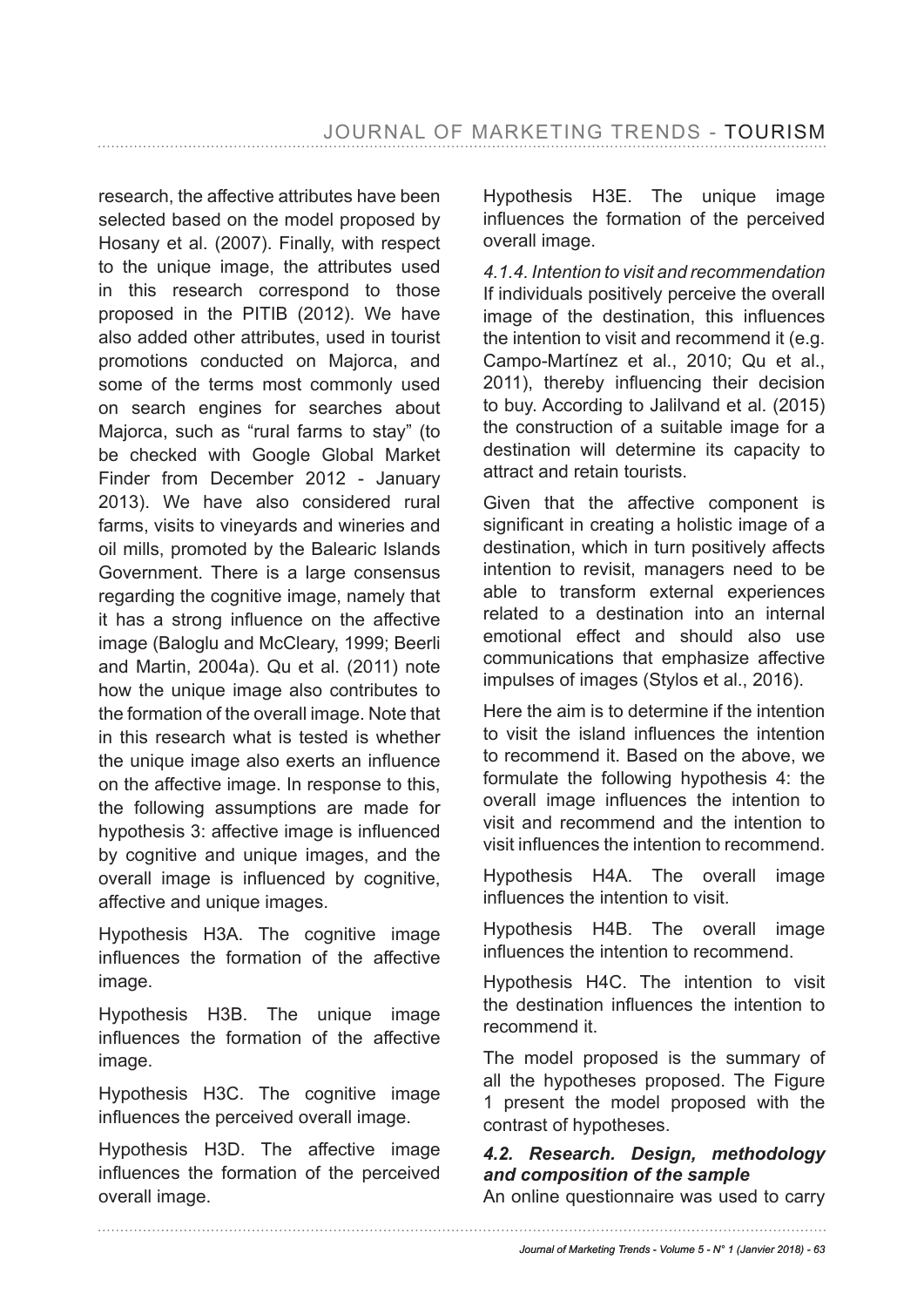research, the affective attributes have been selected based on the model proposed by Hosany et al. (2007). Finally, with respect to the unique image, the attributes used in this research correspond to those proposed in the PITIB (2012). We have also added other attributes, used in tourist promotions conducted on Majorca, and some of the terms most commonly used on search engines for searches about Majorca, such as "rural farms to stay" (to be checked with Google Global Market Finder from December 2012 - January 2013). We have also considered rural farms, visits to vineyards and wineries and oil mills, promoted by the Balearic Islands Government. There is a large consensus regarding the cognitive image, namely that it has a strong infuence on the affective image (Baloglu and McCleary, 1999; Beerli and Martin, 2004a). Qu et al. (2011) note how the unique image also contributes to the formation of the overall image. Note that in this research what is tested is whether the unique image also exerts an infuence on the affective image. In response to this, the following assumptions are made for hypothesis 3: affective image is infuenced by cognitive and unique images, and the overall image is infuenced by cognitive, affective and unique images.

Hypothesis H3A. The cognitive image infuences the formation of the affective image.

Hypothesis H3B. The unique image infuences the formation of the affective image.

Hypothesis H3C. The cognitive image infuences the perceived overall image.

Hypothesis H3D. The affective image infuences the formation of the perceived overall image.

Hypothesis H3E. The unique image infuences the formation of the perceived overall image.

*4.1.4. Intention to visit and recommendation* If individuals positively perceive the overall image of the destination, this infuences the intention to visit and recommend it (e.g. Campo-Martínez et al., 2010; Qu et al., 2011), thereby infuencing their decision to buy. According to Jalilvand et al. (2015) the construction of a suitable image for a destination will determine its capacity to attract and retain tourists.

Given that the affective component is significant in creating a holistic image of a destination, which in turn positively affects intention to revisit, managers need to be able to transform external experiences related to a destination into an internal emotional effect and should also use communications that emphasize affective impulses of images (Stylos et al., 2016).

Here the aim is to determine if the intention to visit the island infuences the intention to recommend it. Based on the above, we formulate the following hypothesis 4: the overall image infuences the intention to visit and recommend and the intention to visit infuences the intention to recommend.

Hypothesis H4A. The overall image infuences the intention to visit.

Hypothesis H4B. The overall image infuences the intention to recommend.

Hypothesis H4C. The intention to visit the destination infuences the intention to recommend it.

The model proposed is the summary of all the hypotheses proposed. The Figure 1 present the model proposed with the contrast of hypotheses.

## *4.2. Research. Design, methodology and composition of the sample*

An online questionnaire was used to carry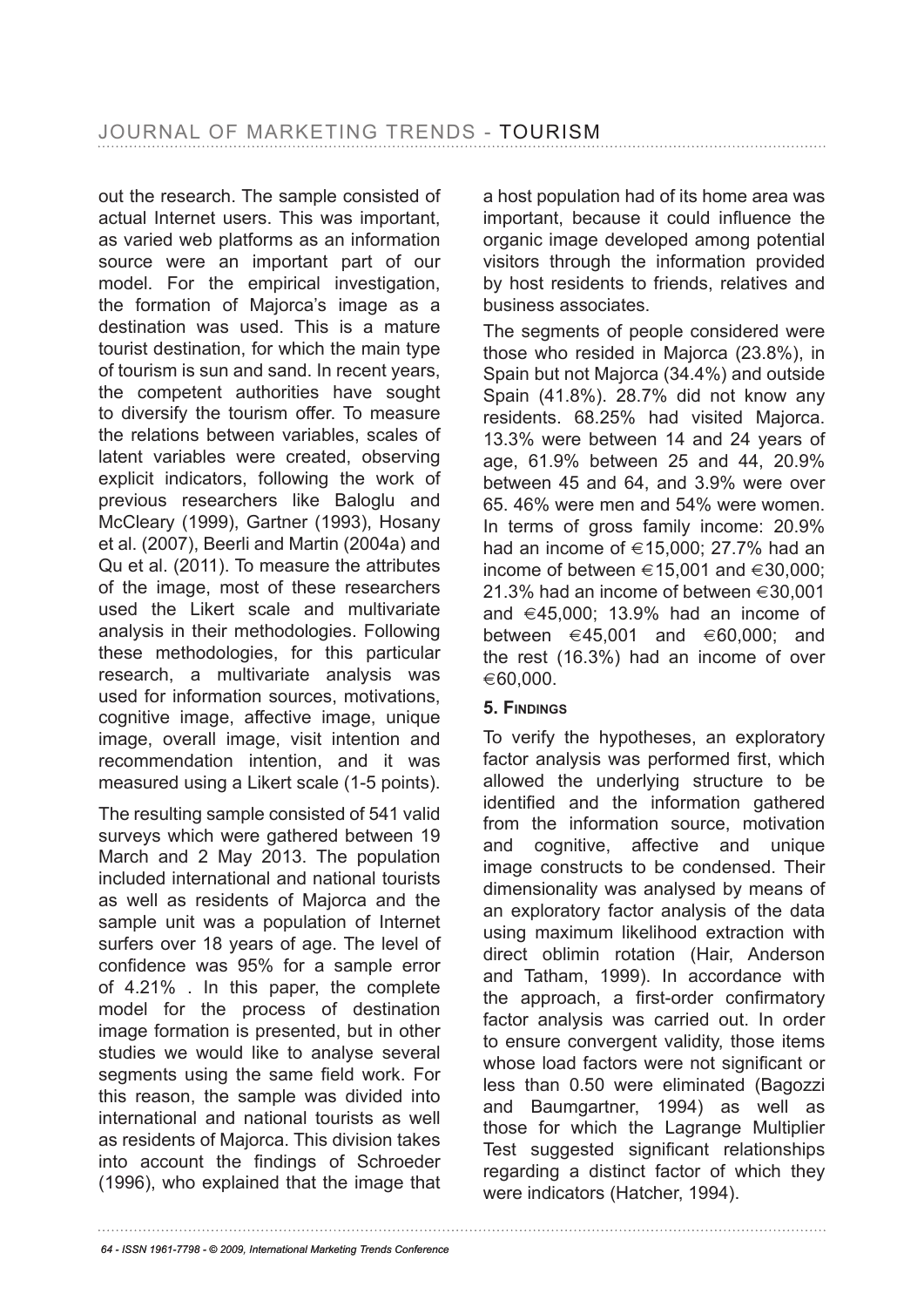out the research. The sample consisted of actual Internet users. This was important, as varied web platforms as an information source were an important part of our model. For the empirical investigation, the formation of Majorca's image as a destination was used. This is a mature tourist destination, for which the main type of tourism is sun and sand. In recent years, the competent authorities have sought to diversify the tourism offer. To measure the relations between variables, scales of latent variables were created, observing explicit indicators, following the work of previous researchers like Baloglu and McCleary (1999), Gartner (1993), Hosany et al. (2007), Beerli and Martin (2004a) and Qu et al. (2011). To measure the attributes of the image, most of these researchers used the Likert scale and multivariate analysis in their methodologies. Following these methodologies, for this particular research, a multivariate analysis was used for information sources, motivations, cognitive image, affective image, unique image, overall image, visit intention and recommendation intention, and it was measured using a Likert scale (1-5 points).

The resulting sample consisted of 541 valid surveys which were gathered between 19 March and 2 May 2013. The population included international and national tourists as well as residents of Majorca and the sample unit was a population of Internet surfers over 18 years of age. The level of confdence was 95% for a sample error of 4.21% . In this paper, the complete model for the process of destination image formation is presented, but in other studies we would like to analyse several segments using the same field work. For this reason, the sample was divided into international and national tourists as well as residents of Majorca. This division takes into account the fndings of Schroeder (1996), who explained that the image that a host population had of its home area was important, because it could infuence the organic image developed among potential visitors through the information provided by host residents to friends, relatives and business associates.

The segments of people considered were those who resided in Majorca (23.8%), in Spain but not Majorca (34.4%) and outside Spain (41.8%). 28.7% did not know any residents. 68.25% had visited Majorca. 13.3% were between 14 and 24 years of age, 61.9% between 25 and 44, 20.9% between 45 and 64, and 3.9% were over 65. 46% were men and 54% were women. In terms of gross family income: 20.9% had an income of  $\in$  15,000; 27,7% had an income of between  $\in 15,001$  and  $\in 30,000$ : 21.3% had an income of between  $\in$ 30.001 and  $\in$  45,000; 13.9% had an income of between  $\in$ 45,001 and  $\in$ 60,000; and the rest (16.3%) had an income of over  $\epsilon$ 60.000.

### **5. finDinGs**

To verify the hypotheses, an exploratory factor analysis was performed first, which allowed the underlying structure to be identifed and the information gathered from the information source, motivation and cognitive, affective and unique image constructs to be condensed. Their dimensionality was analysed by means of an exploratory factor analysis of the data using maximum likelihood extraction with direct oblimin rotation (Hair, Anderson and Tatham, 1999). In accordance with the approach, a frst-order confrmatory factor analysis was carried out. In order to ensure convergent validity, those items whose load factors were not significant or less than 0.50 were eliminated (Bagozzi and Baumgartner, 1994) as well as those for which the Lagrange Multiplier Test suggested significant relationships regarding a distinct factor of which they were indicators (Hatcher, 1994).

*<sup>64 -</sup> ISSN 1961-7798 - © 2009, International Marketing Trends Conference*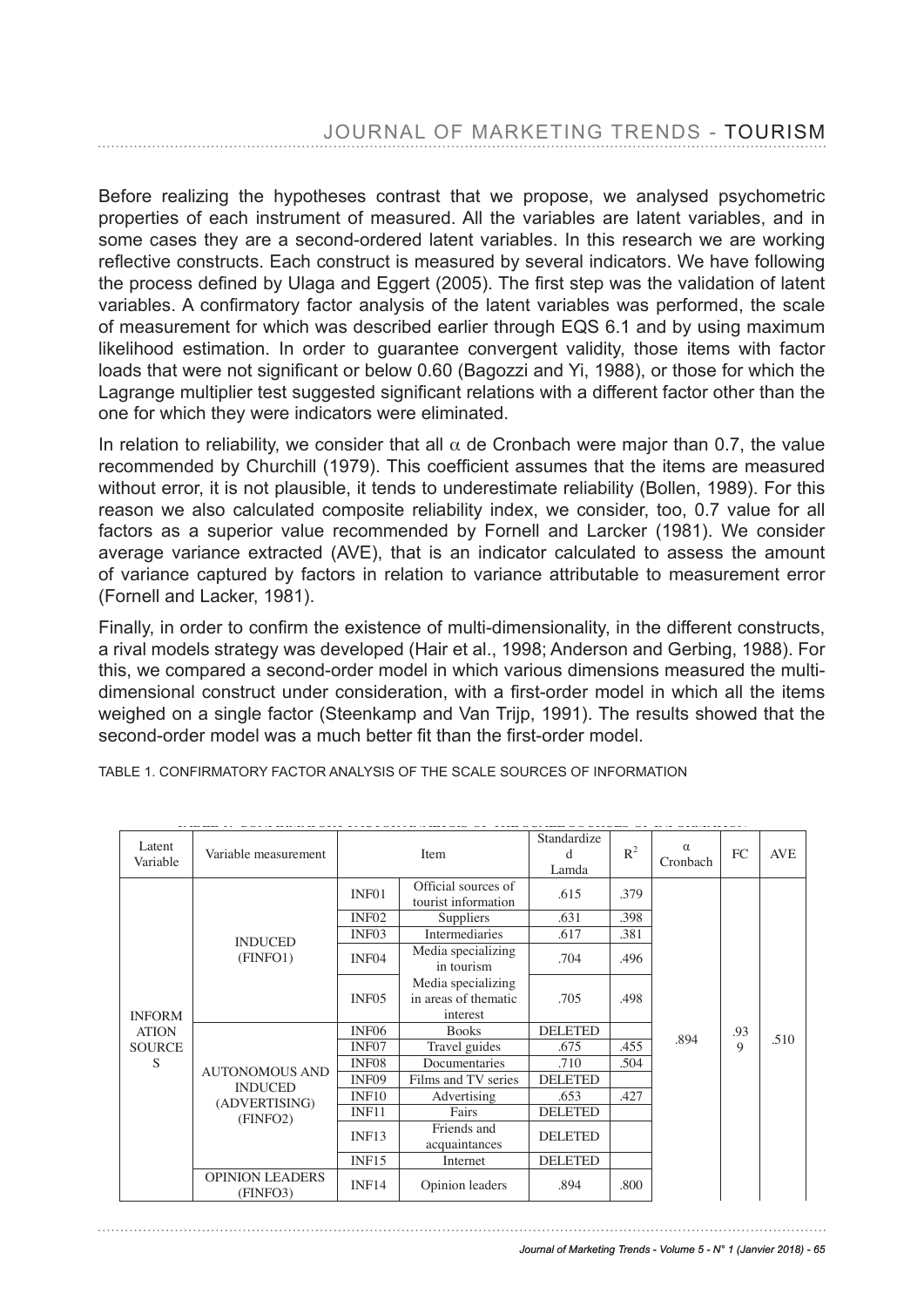Before realizing the hypotheses contrast that we propose, we analysed psychometric properties of each instrument of measured. All the variables are latent variables, and in .<br>some cases they are a second-ordered latent variables. In this research we are working reflective constructs. Each construct is measured by several indicators. We have following the process defined by Ulaga and Eggert (2005). The first step was the validation of latent are preceded demitted by endge and Eggen (Ecces). The met clep mas the remetation of latent<br>variables. A confirmatory factor analysis of the latent variables was performed, the scale variables. A committed y lactor analysis of the latent variables was performed, the coale<br>of measurement for which was described earlier through EQS 6.1 and by using maximum or measurement for which was acsonibed cannel unloagh EQO 0.1 and by asing maximum mean bod estimation. In order to galarance convergent validity, those fields with factor<br>loads that were not significant or below 0.60 (Bagozzi and Yi, 1988), or those for which the loads that were not significant of below 0.00 (Bagozzi and Ti, 1966), or those for which the<br>Lagrange multiplier test suggested significant relations with a different factor other than the one for which they were indicators were eliminated. confirmation factor and the latent variables was performed than the latent variables was performed than the sc

In relation to reliability, we consider that all  $\alpha$  de Cronbach were major than 0.7, the value recommended by Churchill (1979). This coefficient assumes that the items are measured without error, it is not plausible, it tends to underestimate reliability (Bollen, 1989). For this reason we also calculated composite reliability index, we consider, too, 0.7 value for all factors as a superior value recommended by Fornell and Larcker (1981). We consider average variance extracted (AVE), that is an indicator calculated to assess the amount ariance captured by factors in relation to variance attributable to measurement error, of variance captured by factors in relation to variance attributable to measurement error (Fornell and Lacker, 1981). remained captared by factors in relation to remained attinuated to measurement on<br>small and I acker 1081) factors and Labridge recommended by  $F$ .

Finally, in order to confirm the existence of multi-dimensionality, in the different constructs, a rival models strategy was developed (Hair et al., 1998; Anderson and Gerbing, 1988). For this, we compared a second-order model in which various dimensions measured the multidimensional construct under consideration, with a first-order model in which all the items weighed on a single factor (Steenkamp and Van Trijp, 1991). The results showed that the second-order model was a much better fit than the first-order model.

|                    |                                                          |                                                                                             |                                            | Standardize           |       |                      |                    |            |
|--------------------|----------------------------------------------------------|---------------------------------------------------------------------------------------------|--------------------------------------------|-----------------------|-------|----------------------|--------------------|------------|
| Latent<br>Variable | Variable measurement                                     | Item                                                                                        |                                            | <sub>d</sub><br>Lamda | $R^2$ | $\alpha$<br>Cronbach | <b>FC</b>          | <b>AVE</b> |
|                    |                                                          | INF <sub>01</sub>                                                                           | Official sources of<br>tourist information | .615                  | .379  |                      |                    |            |
|                    |                                                          | INF <sub>02</sub>                                                                           | <b>Suppliers</b>                           | .631                  | .398  |                      |                    |            |
|                    | <b>INDUCED</b>                                           | INF <sub>03</sub>                                                                           | Intermediaries                             | .617                  | .381  |                      |                    |            |
| <b>INFORM</b>      | (FINFO1)                                                 | INF <sub>04</sub>                                                                           | Media specializing<br>in tourism           | .704                  | .496  |                      |                    |            |
|                    |                                                          | Media specializing<br>in areas of thematic<br>.498<br>INF <sub>05</sub><br>.705<br>interest |                                            |                       |       |                      |                    |            |
| <b>ATION</b>       | <b>AUTONOMOUS AND</b><br><b>INDUCED</b><br>(ADVERTISING) | INF <sub>06</sub>                                                                           | <b>Books</b>                               | <b>DELETED</b>        |       |                      | .93<br>$\mathbf Q$ | .510       |
| <b>SOURCE</b>      |                                                          | INF <sub>07</sub>                                                                           | Travel guides                              | .675                  | .455  | .894                 |                    |            |
| S                  |                                                          | INF <sub>08</sub>                                                                           | Documentaries                              | .710                  | .504  |                      |                    |            |
|                    |                                                          | INF <sub>09</sub>                                                                           | Films and TV series                        | <b>DELETED</b>        |       |                      |                    |            |
|                    |                                                          | INF10                                                                                       | Advertising                                | .653                  | .427  |                      |                    |            |
|                    | (FINFO2)                                                 | INF11                                                                                       | Fairs                                      | <b>DELETED</b>        |       |                      |                    |            |
|                    |                                                          | INF13                                                                                       | Friends and<br>acquaintances               | <b>DELETED</b>        |       |                      |                    |            |
|                    |                                                          | INF15                                                                                       | Internet                                   | <b>DELETED</b>        |       |                      |                    |            |
|                    | <b>OPINION LEADERS</b><br>(FINFO3)                       | INF14                                                                                       | Opinion leaders                            | .894                  | .800  |                      |                    |            |

TABLE 1. CONFIRMATORY FACTOR ANALYSIS OF THE SCALE SOURCES OF INFORMATION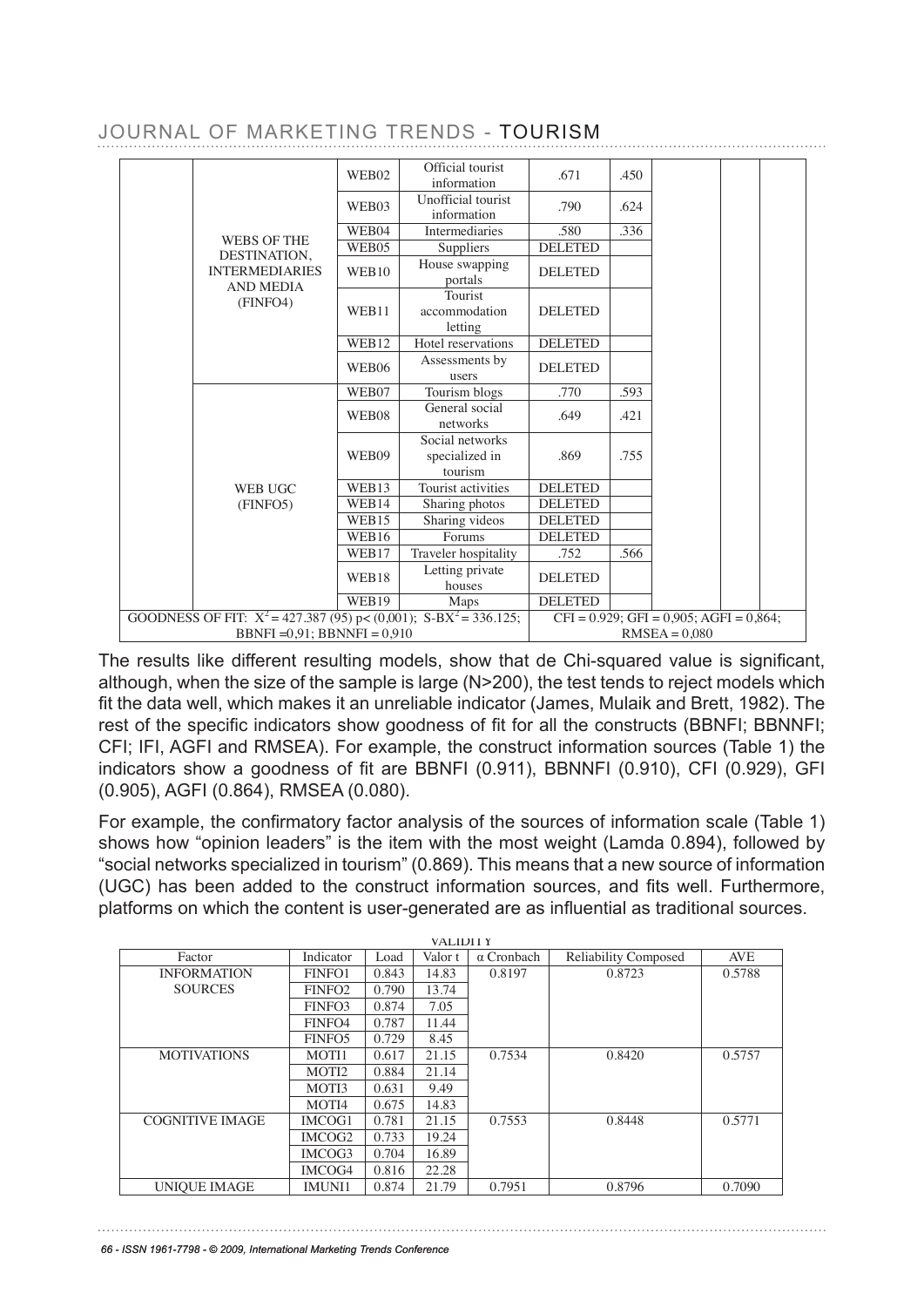|  |  | JOURNAL OF MARKETING TRENDS - TOURISM |  |  |
|--|--|---------------------------------------|--|--|
|--|--|---------------------------------------|--|--|

|                                                                          | WEB02        | Official tourist<br>Offforahabionst              | .671            | .450                                       |                                                  |  |  |
|--------------------------------------------------------------------------|--------------|--------------------------------------------------|-----------------|--------------------------------------------|--------------------------------------------------|--|--|
|                                                                          | WEB03        | Uniofffocialitionist<br><b>Unofformation</b> ist | .790            | .624                                       |                                                  |  |  |
|                                                                          | WEB04        | <b>Intermediances</b>                            | .580            | .336                                       |                                                  |  |  |
| <b>WEBS OF THE</b><br>DESTINATION,                                       | WEB04        | <b>IntSuppliensies</b>                           | DELSETED        | .336                                       |                                                  |  |  |
| <b>INTERMEDIARIES</b><br><b>AND MEDIA</b>                                | WEB95        | Houseppyiepping<br>Houseostedpping               | <b>BELETEB</b>  |                                            |                                                  |  |  |
| (FINFO4)                                                                 |              | <b>Fontalst</b>                                  |                 |                                            |                                                  |  |  |
|                                                                          | WEB11        | accommodation<br>letting                         | <b>DELETED</b>  |                                            |                                                  |  |  |
|                                                                          | WEB12        | Hotel letter gations                             | <b>DELETED</b>  |                                            |                                                  |  |  |
|                                                                          | WEB06        | H&tsessneemtaibus<br>Assessments by              | <b>BELETEB</b>  |                                            |                                                  |  |  |
|                                                                          | WEB07        | Touriserblogs                                    | .770            | .593                                       |                                                  |  |  |
|                                                                          | WEB03        | <b>Touncismh</b> stoloiges                       | :339            | :593                                       |                                                  |  |  |
|                                                                          |              | Genetwosksial                                    |                 |                                            |                                                  |  |  |
|                                                                          |              | Social works rks                                 |                 |                                            |                                                  |  |  |
|                                                                          | WEB09        | Sspeialalizerobitks                              | .869            | .755                                       |                                                  |  |  |
|                                                                          |              | tourism                                          |                 |                                            |                                                  |  |  |
| <b>WEB UGC</b>                                                           | WEB13        | <b>Tourioturistinvities</b>                      | <b>DELETED</b>  |                                            |                                                  |  |  |
| (FINFO5)                                                                 | WEB14        | <b>Tsharrist gathroitoss</b>                     | <b>DELETED</b>  |                                            |                                                  |  |  |
|                                                                          | WEB14        | Sharing photos                                   | <b>DELETED</b>  |                                            |                                                  |  |  |
|                                                                          | WEB16        | Sharingumideos                                   | <b>DELETED</b>  |                                            |                                                  |  |  |
|                                                                          | WEB16        | TravelComospitality                              | <b>DELTETED</b> | .566                                       |                                                  |  |  |
|                                                                          | <b>WEB13</b> | Traxetter chospiaateity<br>Letthousesvate        | DELETED         | .566                                       |                                                  |  |  |
|                                                                          | WEB19        | <b>Holiasess</b>                                 | <b>DELETED</b>  |                                            |                                                  |  |  |
| GOODNESS OF FIT: $X^2 = 427.387$ (95) HEB(09001); S-BXM ap336.125;       |              |                                                  |                 |                                            | DECETEE (0.929: GFI = $0.905$ : AGFI = $0.864$ : |  |  |
| GOODNESS OF FIBBNFE=42,9.B8BB95NFE+00,0010; S-BX <sup>2</sup> = 336.125; |              |                                                  |                 | $CFI = 0.929$ RMS EA 9050 AGFI = $0.864$ . |                                                  |  |  |

The results like different resulting models, show that de Chi-squared value is significant, although, when the size of the sample is large (N>200), the test tends to reject models which although, when the size of the sample is large (N>200), the test tends to reject models which ft the data well, which makes it an unreliable indicator (James, Mulaik and Brett, 1982). The fit the data well, which makes it an unreliable indicator (James, Mulaik and Brett, 1982). The rest of the specifc indicators show goodness of ft for all the constructs (BBNFI; BBNNFI; rest of the specific indicators show goodness of fit for all the constructs (BBNFI; BBNNFI; CFI; IFI, AGFI and RMSEA). For example, the construct information sources (Table 1) the CFI; IFI, AGFI and RMSEA). For example, the construct information sources (Table 1) the indicators show a goodness of ft are BBNFI (0.911), BBNNFI (0.910), CFI (0.929), GFI indicators show a goodness of fit are BBNFI (0.911), BBNNFI (0.910), CFI (0.929), GFI (0.905), AGFI (0.864), RMSEA (0.080). The results like different resulting models, show that de Chi-squared value is significant, iicators show a goodness of fit are BBNFI (0.911), BBNNFI (0.910), CFI (0.929), G<br>205). AQFI (2.924), BMOFA (2.999). BBNFI =0,91; BBNNFI = 0,910  $RMSEA = 0.080$ The results like different resulting models, show that de Chi-squared value is significal<br>Levels when the size of the console is lense (N) 200), the tect tends to miset medals whi  $\alpha$ lthough, when the size of the sample is large (N-200), the test tends to reject models which fit the data well, which makes it an unreliable indicator (James, Mulaik and Brett, 1982). The  $\sigma$  of the specific indicators show goodness of it for all the constructs (BBNFI; BBNNI)<br> $\sigma$  $F$ ; IFI, AGFI and RMSEA). For example, the construct information sources (Table 1) the

For example, the confirmatory factor analysis of the sources of information scale (Table 1) shows how "opinion leaders" is the item with the most weight (Lamda 0.894), followed by "social networks specialized in tourism" (0.869). This means that a new source of information (UGC) has been added to the construct information sources, and fits well. Furthermore, platforms on which the content is user-generated are as influential as traditional sources.

| The contract of        | $\mathbf{Y} = \mathbf{Y} \mathbf{Y}$ | т.<br>$\mathbf{r}$ | "VALIDI1 <sup>T</sup> | 1111              | $P_1$ $P_2$ $P_3$ $P_4$ $P_5$ $P_6$ | $4 \times 7$ |
|------------------------|--------------------------------------|--------------------|-----------------------|-------------------|-------------------------------------|--------------|
| Factor                 | Indicator                            | Load               | Valor t               | $\alpha$ Cronbach | <b>Reliability Composed</b>         | AVE          |
| <b>INFORMATION</b>     | FINFO1                               | 0.843              | 14.83                 | 0.8197            | 0.8723                              | 0.5788       |
| <b>SOURCES</b>         | FINFO <sub>2</sub>                   | 0.790              | 13.74                 |                   |                                     |              |
|                        | FINFO3                               | 0.874              | 7.05                  |                   |                                     |              |
|                        | FINFO <sub>4</sub>                   | 0.787              | 11.44                 |                   |                                     |              |
|                        | FINFO <sub>5</sub>                   | 0.729              | 8.45                  |                   |                                     |              |
| <b>MOTIVATIONS</b>     | MOTI1                                | 0.617              | 21.15                 | 0.7534            | 0.8420                              | 0.5757       |
|                        | MOTI2                                | 0.884              | 21.14                 |                   |                                     |              |
|                        | MOTI3                                | 0.631              | 9.49                  |                   |                                     |              |
|                        | MOTI4                                | 0.675              | 14.83                 |                   |                                     |              |
| <b>COGNITIVE IMAGE</b> | IMCOG1                               | 0.781              | 21.15                 | 0.7553            | 0.8448                              | 0.5771       |
|                        | IMCOG <sub>2</sub>                   | 0.733              | 19.24                 |                   |                                     |              |
|                        | IMCOG <sub>3</sub>                   | 0.704              | 16.89                 |                   |                                     |              |
|                        | IMCOG4                               | 0.816              | 22.28                 |                   |                                     |              |
| <b>UNIOUE IMAGE</b>    | <b>IMUNI1</b>                        | 0.874              | 21.79                 | 0.7951            | 0.8796                              | 0.7090       |

9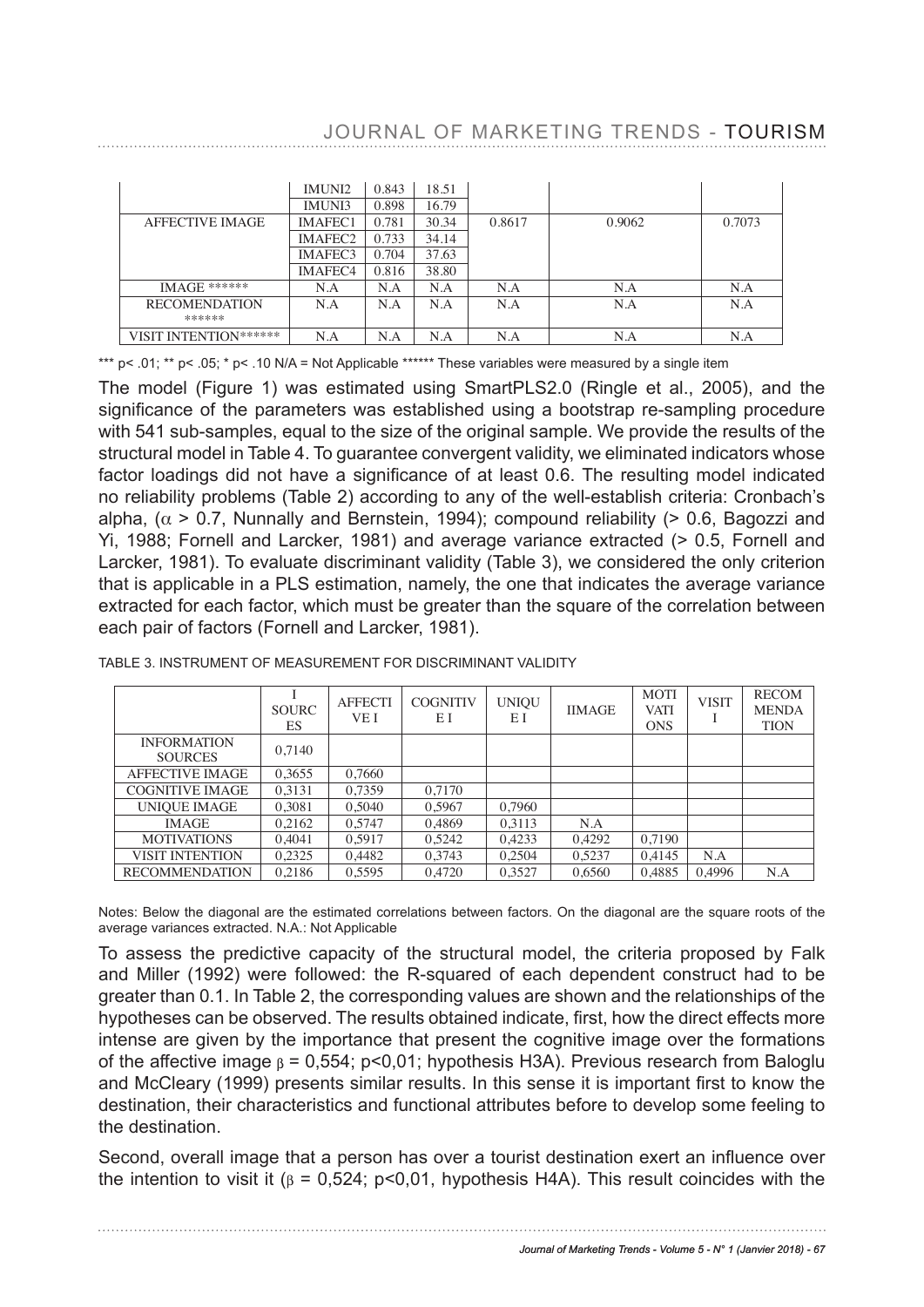## JOURNAL OF MARKETING TRENDS - TOURISM

|                                                  | <b>IMUNI2</b>                           | 0.843                              | 18.51                     |                     |                      |                     |
|--------------------------------------------------|-----------------------------------------|------------------------------------|---------------------------|---------------------|----------------------|---------------------|
|                                                  | <b>IMUNI3</b>                           | 0.898                              | 16.79                     |                     |                      |                     |
| <b>AFFECTIVE IMAGE</b>                           | <b>AFEC</b>                             | 0.78                               | 30.34                     | 0.8617              | 0.9062               | 0.7073              |
|                                                  | FFL*2                                   | प्र.क्षत्र<br>ంద×                  | 32<br>$\cdot$<br>.14      |                     |                      |                     |
|                                                  | イエトレイ                                   | 4.920<br>⊶                         | 49.57<br>۰×<br>$_{\rm x}$ |                     |                      |                     |
| <b>AFFECTIVE IMAGE</b>                           |                                         | :89                                | <u>रहें</u><br>38         | 0.8617              | 0.9062               | 0.7073              |
| ******<br><b>IMAGE</b>                           | IIVI AT EUZ<br>$T \cup T \cup T \cap T$ | ساما<br>$H\wedge$                  | <b>34.14</b><br>オオウカ      | N.A                 | N.A                  | N.A                 |
| <b>RECOMENDATION</b>                             | TIVIAT EUS                              | یں ان                              | $\sqrt{9}$                | N.A                 | N.A                  | N.A                 |
| ******                                           | IMAFEC4                                 | 0.816                              | 38.80                     |                     |                      |                     |
| <b>TA A A CITY</b> shaked shakeds<br>ON******    | $\mathbf{v}$<br>N:A                     | $\mathbf{v}$<br>N:A<br>$\tilde{ }$ | $\mathbf{X}$<br>N:A       | <b>BT</b><br>N:A    | $\mathbf{v}$<br>УĄ   | $\mathbf{X}$<br>N:A |
| <b>THE ITION</b><br><b>DOOL</b><br>RECOMENDATION | $\bar{1}$ $\bar{1}$<br>N.A              | N.A                                | $\cdots$<br>IV.A          | $\mathbf{X}$<br>N.A | $\mathbf{r}$<br>IV.A | $\tilde{r}$<br>N.A  |

\*\*\* p< .01; \*\* p< .05; \* p< .10 N/A = Not Applicable \*\*\*\*\*\* These variables were measured by a single item \*\*\* p< .01; \*\* p< .05; \* p< .10 N/A = Not Applicable \*\*\*\*\*\* These variables were measured by a single item RECOMENDATION  $*$  05\*

The model (Figure 1) was estimated using SmartPLS2.0 (Ringle et al., 2005), and the significance of the parameters was established using a bootstrap re-sampling procedure with 541 sub-samples, equal to the size of the original sample. We provide the results of the<br>structural model in Table 4. To guarantee convergent validity, we eliminated indicators whose structural model in Table 4. To guarantee convergent validity, we eliminated indicators whose structural model in Table 4. To guarantee convergent validity, we eliminated indicators whose factor loadings did not have a signifcance of at least 0.6. The resulting model indicated factor loadings did not have a significance of at least 0.6. The resulting model indicated no ractor loadings did not have a significance of at least 0.0. The resulting moder indicated<br>no reliability problems (Table 2) according to any of the well-establish criteria: Cronbach's alpha, ( $\alpha$  > 0.7, Nunnally and Bernstein, 1994); compound reliability (> 0.6, Bagozzi and  $\alpha$ , Formell and Larcker, 1994); compound reliability (> 0.5, Formell and Larcker, and Larcker, and Larcker, and Larcker, and La Yi, 1988; Fornell and Larcker, 1981) and average variance extracted (> 0.5, Fornell and 11, 1988; Fornell and Larcker, 1981) and average variance extracted (> 0.5, Fornell and<br>Larcker, 1981). To evaluate discriminant validity (Table 3), we considered the only criterion that is applicable in a PLS estimation, namely, the one that indicates the average variance that is applicable in a PLS estimation, namely, the one that indicates the average variance<br>extracted for each factor, which must be greater than the square of the correlation between each pair of factors (Fornell and Larcker, 1981).  $\alpha$  -  $\alpha$  -  $\alpha$   $\alpha$  -  $\alpha$  -  $\alpha$  -  $\alpha$  -  $\alpha$  -  $\alpha$  -  $\alpha$  -  $\alpha$  -  $\alpha$  -  $\alpha$  -  $\alpha$  -  $\alpha$  -  $\alpha$  -  $\alpha$  -  $\alpha$  -  $\alpha$  -  $\alpha$  -  $\alpha$  -  $\alpha$  -  $\alpha$  -  $\alpha$  -  $\alpha$  -  $\alpha$  -  $\alpha$  -  $\alpha$  -  $\alpha$  -  $\alpha$  -  $\alpha$  -  $\alpha$  reliability problems (Table 2) according to any of the well-establish criteria: Cronback<br>ha,  $(\alpha > 0.7)$ , Nunnally and Bernstein, 1994); compound reliability (> 0.6, Bagozzi an

| TABLE 3. INSTRUMENT OF MEASUREMENT FOR DISCRIMINANT VALIDITY | <b>MOT</b> | <b>RECOM</b> |
|--------------------------------------------------------------|------------|--------------|
|--------------------------------------------------------------|------------|--------------|

| ADLE 3. INSTRUMENT OF MEASUREMENT FOR DISCRIMINANT VALIDITT |                    |                        |                       |                    |               |                                          |              |                                             |
|-------------------------------------------------------------|--------------------|------------------------|-----------------------|--------------------|---------------|------------------------------------------|--------------|---------------------------------------------|
|                                                             | EС                 |                        |                       |                    |               | $\bigcap$ <sub>NIC</sub>                 |              | TIAN                                        |
|                                                             | <b>SOURC</b><br>ES | <b>AFFECTI</b><br>VE I | <b>COGNITIV</b><br>ΕI | <b>UNIQU</b><br>ΕI | <b>IIMAGE</b> | <b>MOTI</b><br><b>VATI</b><br><b>ONS</b> | <b>VISIT</b> | <b>RECOM</b><br><b>MENDA</b><br><b>TION</b> |
| <b>INFORMATION</b><br><b>SOURCES</b>                        | 0,7140             |                        |                       |                    |               |                                          |              |                                             |
| <b>AFFECTIVE IMAGE</b>                                      | 0,3655             | 0.7660                 |                       |                    |               |                                          |              |                                             |
| <b>COGNITIVE IMAGE</b>                                      | 0,3131             | 0.7359                 | 0.7170                |                    |               |                                          |              |                                             |
| UNIQUE IMAGE                                                | 0,3081             | 0.5040                 | 0,5967                | 0,7960             |               |                                          |              |                                             |
| <b>IMAGE</b>                                                | 0,2162             | 0.5747                 | 0,4869                | 0.3113             | N.A           |                                          |              |                                             |
| <b>MOTIVATIONS</b>                                          | 0,4041             | 0,5917                 | 0,5242                | 0,4233             | 0,4292        | 0.7190                                   |              |                                             |
| <b>VISIT INTENTION</b>                                      | 0.2325             | 0.4482                 | 0.3743                | 0.2504             | 0,5237        | 0.4145                                   | N.A          |                                             |
| <b>RECOMMENDATION</b>                                       | 0.2186             | 0.5595                 | 0.4720                | 0.3527             | 0.6560        | 0.4885                                   | 0.4996       | N.A                                         |

Notes: Below the diagonal are the estimated correlations between factors. On the diagonal are the square roots of the average variances extracted. N.A.: Not Applicable

To assess the predictive capacity of the structural model, the criteria proposed by Falk and Miller (1992) were followed: the R-squared of each dependent construct had to be greater than 0.1. In Table 2, the corresponding values are shown and the relationships of the To assess the predictive capacity of the structural model, the criteria proposed by Falk<br>and Miller (1992) were followed: the R-squared of each dependent construct had to be<br>greater than 0.1. In Table 2, the corresponding intense are given by the importance that present the cognitive image over the formations<br>of the affective image  $\beta$  = 0.554; p<0.01; hypothesis H3A). Previous research from Baloglu of the affective image  $\beta$  = 0,554; p<0,01; hypothesis H3A). Previous research from Baloglu and McCleary (1999) presents similar results. In this sense it is important first to know the destination their characteristics and functional attributes before to develop some feeling to destination, their characteristics and functional attributes before to develop some feeling to the destination. research of the characteristics that this the importance that the overall is the overall is complete.<br>Independent individual has over his behaviour. Second, overall image that a person has over a tourist destination exert an influence over the  $\alpha$  is visit it ( $\beta$  = 0,524; parameter  $\beta$ 

Second, overall image that a person has over a tourist destination exert an influence over the intention to visit it ( $β = 0,524$ ;  $p < 0,01$ , hypothesis H4A). This result coincides with the

. . . . . . . . . . . . . . . . . . . .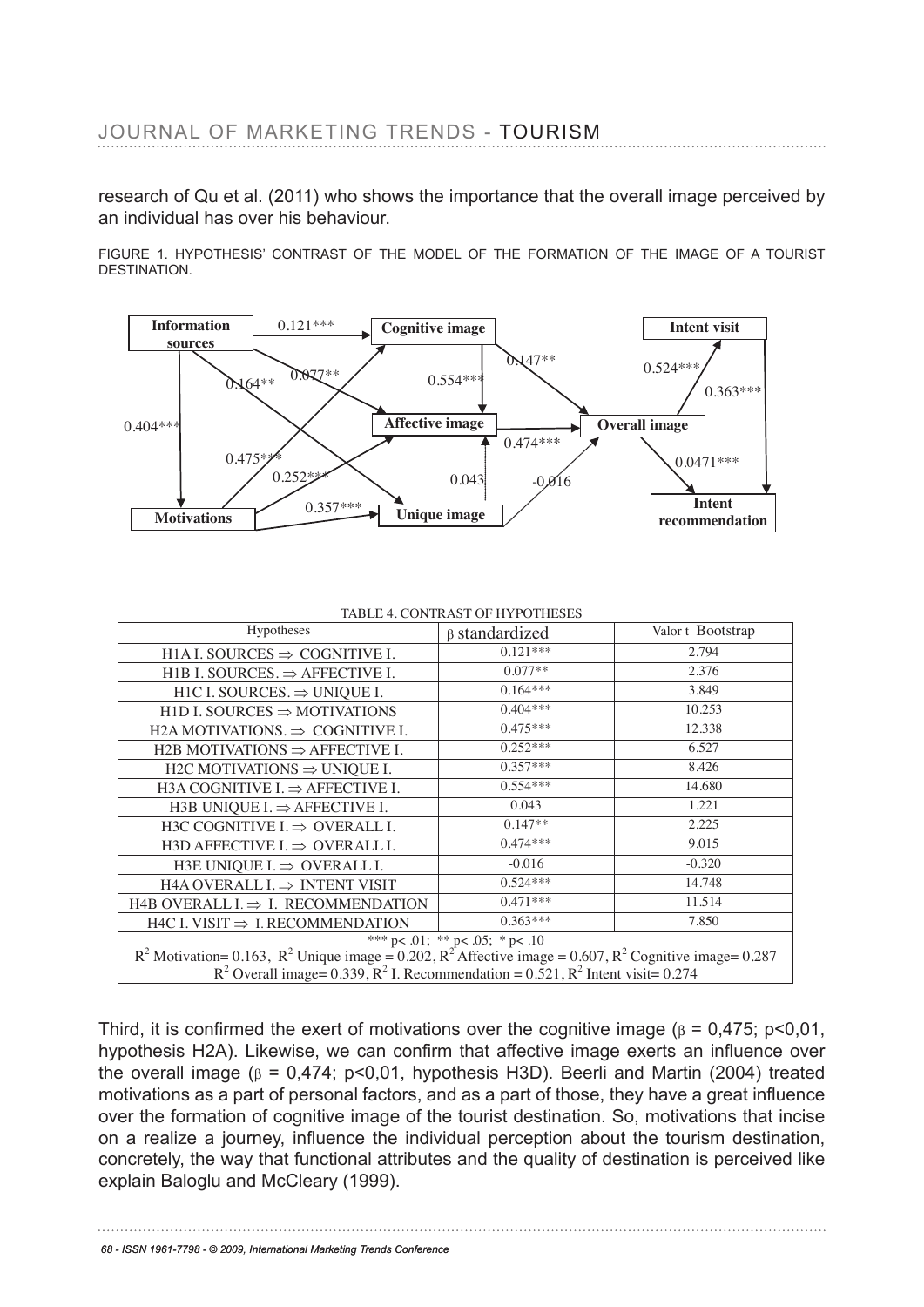research of Qu et al. (2011) who shows the importance that the overall image perceived by an individual has over his behaviour.

FIGURE 1.<sub>80</sub>H){R&THESIS' CONTRAST OF THE MODEL OF THE FORMATION OF THE IMAGE OF A TOURIST DESTINATION. **Information sources Cognitive image** 0.121\*\*\* **Intent visit**<br>THE FORMATION OF THE IMAGE OF A TOURIST 0.147\*\*



#### TABLE 4. CONTRAST OF HYPOTHESES

| Hypotheses                                                                                                                                                                                         | β standardized | Valor t Bootstrap |  |  |  |  |  |  |
|----------------------------------------------------------------------------------------------------------------------------------------------------------------------------------------------------|----------------|-------------------|--|--|--|--|--|--|
| H1A I. SOURCES $\Rightarrow$ COGNITIVE I.                                                                                                                                                          | $0.121***$     | 2.794             |  |  |  |  |  |  |
| H <sub>1</sub> B I. SOURCES. $\Rightarrow$ AFFECTIVE I.                                                                                                                                            | $0.077**$      | 2.376             |  |  |  |  |  |  |
| H1C I. SOURCES. $\Rightarrow$ UNIQUE I.                                                                                                                                                            | $0.164***$     | 3.849             |  |  |  |  |  |  |
| HID I. SOURCES $\Rightarrow$ MOTIVATIONS                                                                                                                                                           | $0.404***$     | 10.253            |  |  |  |  |  |  |
| H2A MOTIVATIONS. $\Rightarrow$ COGNITIVE I.                                                                                                                                                        | $0.475***$     | 12.338            |  |  |  |  |  |  |
| H2B MOTIVATIONS $\Rightarrow$ AFFECTIVE I.                                                                                                                                                         | $0.252***$     | 6.527             |  |  |  |  |  |  |
| H2C MOTIVATIONS $\Rightarrow$ UNIQUE I.                                                                                                                                                            | $0.357***$     | 8.426             |  |  |  |  |  |  |
| H3A COGNITIVE I. $\Rightarrow$ AFFECTIVE I.                                                                                                                                                        | $0.554***$     | 14.680            |  |  |  |  |  |  |
| H3B UNIQUE I. $\Rightarrow$ AFFECTIVE I.                                                                                                                                                           | 0.043          | 1.221             |  |  |  |  |  |  |
| H3C COGNITIVE I. $\Rightarrow$ OVERALL I.                                                                                                                                                          | $0.147**$      | 2.225             |  |  |  |  |  |  |
| H3D AFFECTIVE $I \Rightarrow$ OVERALL I.                                                                                                                                                           | $0.474***$     | 9.015             |  |  |  |  |  |  |
| H3E UNIQUE I. $\Rightarrow$ OVERALL I.                                                                                                                                                             | $-0.016$       | $-0.320$          |  |  |  |  |  |  |
| H4A OVERALL I. $\Rightarrow$ INTENT VISIT                                                                                                                                                          | $0.524***$     | 14.748            |  |  |  |  |  |  |
| H4B OVERALL I. $\Rightarrow$ I. RECOMMENDATION                                                                                                                                                     | $0.471***$     | 11.514            |  |  |  |  |  |  |
| H4C I. VISIT $\Rightarrow$ I. RECOMMENDATION                                                                                                                                                       | $0.363***$     | 7.850             |  |  |  |  |  |  |
|                                                                                                                                                                                                    |                |                   |  |  |  |  |  |  |
| <sup>***</sup> p< .01; ** p< .05; * p< .10<br>R <sup>2</sup> Motivation= 0.163, R <sup>2</sup> Unique image = 0.202, R <sup>2</sup> Affective image = 0.607, R <sup>2</sup> Cognitive image= 0.287 |                |                   |  |  |  |  |  |  |
| $R^2$ Overall image= 0.339, $R^2$ I. Recommendation = 0.521, $R^2$ Intent visit= 0.274                                                                                                             |                |                   |  |  |  |  |  |  |
| H4B OVERALL I. $\Rightarrow$ I. RECOMMENDATION                                                                                                                                                     | $0.471***$     | 11.514            |  |  |  |  |  |  |
| H4C I. VISIT $\Rightarrow$ I. RECOMMENDATION                                                                                                                                                       | $0.363***$     | 7.850             |  |  |  |  |  |  |

 $H^4C$  i. visit  $\Rightarrow$  i. RECOMMENDATION<br>Third, it is confirmed the exert of motivations over the cognitive image (β = 0,475; p<0,01, hypothesis H2A). Likewise, we can confirm that affective image exerts an influence over the overall image (β = 0,474; p<0,01, hypothesis H3D). Beerli and Martin (2004) treated motivations as a part of personal factors, and as a part of those, they have a great influence over the formation of cognitive image of the tourist destination. So, motivations that incise on a realize a journey, influence the individual perception about the tourism destination, concretely, the way that functional attributes and the quality of destination is perceived like explain Baloglu and McCleary (1999). In this case, it appears against the tourism destination, it appears again R2 Motivation= 0.163, R2 Unique image = 0.202, R2 Affective image = 0.607, R2 Cognitive image= 0.287  $R$ <sup>2</sup> Overall image= 0.339, R<sub>2</sub> I. Recommendation = 0.521, R<sup>2</sup> Intent visit= 0.274  $T$  over an image (β = 0,474, p $\sim$ 0,01, hypothesis ribb). Deem and ivaring (2004) treations of the comparison in a comparison of the comparison in a comparison of the comparison of the comparison of the comparison of th  $\alpha$ , it is confirmed the exert of monvations over the cognitive image (β = 0,475; p<0,0 motivations as a part of personal factors, and as a part of those, they have a great influence  $\alpha$  overall image  $\beta$  = 0,474; p<0,01, hypothesis H3D). Beerii and Martin (2004) treate

68 - ISSN 1961-7798 - © 2009, International Marketing Trends Conference

to visit a place, like Keller et al. (2011) demonstrated.

explain Baloglu and McCleary (1999).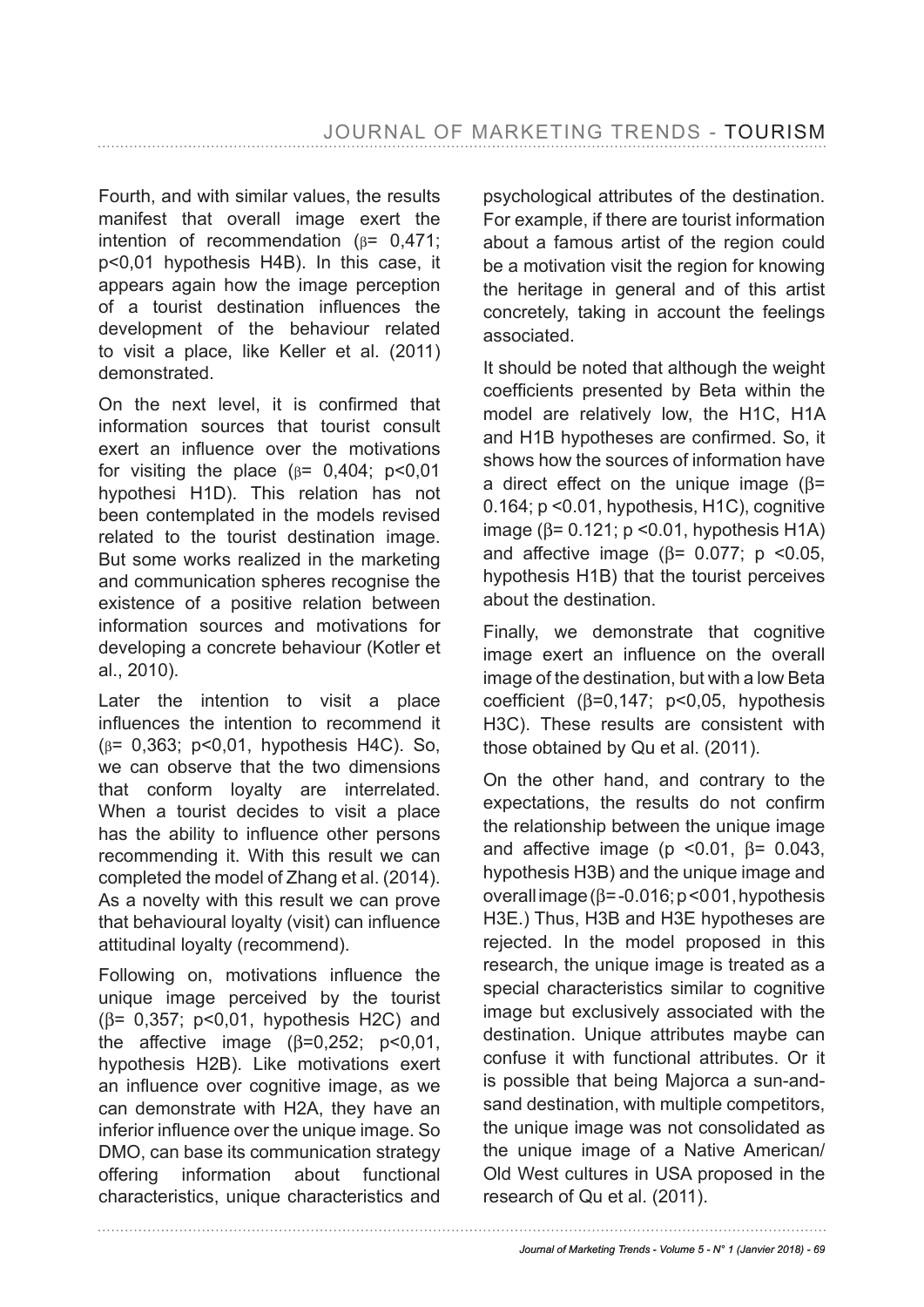Fourth, and with similar values, the results manifest that overall image exert the intention of recommendation (β= 0,471; p<0,01 hypothesis H4B). In this case, it appears again how the image perception of a tourist destination infuences the development of the behaviour related to visit a place, like Keller et al. (2011) demonstrated.

On the next level, it is confrmed that information sources that tourist consult exert an infuence over the motivations for visiting the place  $(\beta = 0.404; \beta < 0.01)$ hypothesi H1D). This relation has not been contemplated in the models revised related to the tourist destination image. But some works realized in the marketing and communication spheres recognise the existence of a positive relation between information sources and motivations for developing a concrete behaviour (Kotler et al., 2010).

Later the intention to visit a place infuences the intention to recommend it (β= 0,363; p<0,01, hypothesis H4C). So, we can observe that the two dimensions that conform loyalty are interrelated. When a tourist decides to visit a place has the ability to infuence other persons recommending it. With this result we can completed the model of Zhang et al. (2014). As a novelty with this result we can prove that behavioural loyalty (visit) can infuence attitudinal loyalty (recommend).

Following on, motivations infuence the unique image perceived by the tourist (β= 0,357; p<0,01, hypothesis H2C) and the affective image  $(\beta=0.252; p<0.01)$ , hypothesis H2B). Like motivations exert an infuence over cognitive image, as we can demonstrate with H2A, they have an inferior infuence over the unique image. So DMO, can base its communication strategy offering information about functional characteristics, unique characteristics and psychological attributes of the destination. For example, if there are tourist information about a famous artist of the region could be a motivation visit the region for knowing the heritage in general and of this artist concretely, taking in account the feelings associated.

It should be noted that although the weight coefficients presented by Beta within the model are relatively low, the H1C, H1A and H1B hypotheses are confrmed. So, it shows how the sources of information have a direct effect on the unique image (β= 0.164; p <0.01, hypothesis, H1C), cognitive image ( $β = 0.121$ ; p < 0.01, hypothesis H1A) and affective image ( $β = 0.077$ ; p <0.05, hypothesis H1B) that the tourist perceives about the destination.

Finally, we demonstrate that cognitive image exert an infuence on the overall image of the destination, but with a low Beta coefficient ( $\beta$ =0,147; p<0,05, hypothesis H3C). These results are consistent with those obtained by Qu et al. (2011).

On the other hand, and contrary to the expectations, the results do not confrm the relationship between the unique image and affective image ( $p$  < 0.01,  $β = 0.043$ , hypothesis H3B) and the unique image and overall image (β= -0.016; p <0 01, hypothesis H3E.) Thus, H3B and H3E hypotheses are rejected. In the model proposed in this research, the unique image is treated as a special characteristics similar to cognitive image but exclusively associated with the destination. Unique attributes maybe can confuse it with functional attributes. Or it is possible that being Majorca a sun-andsand destination, with multiple competitors, the unique image was not consolidated as the unique image of a Native American/ Old West cultures in USA proposed in the research of Qu et al. (2011).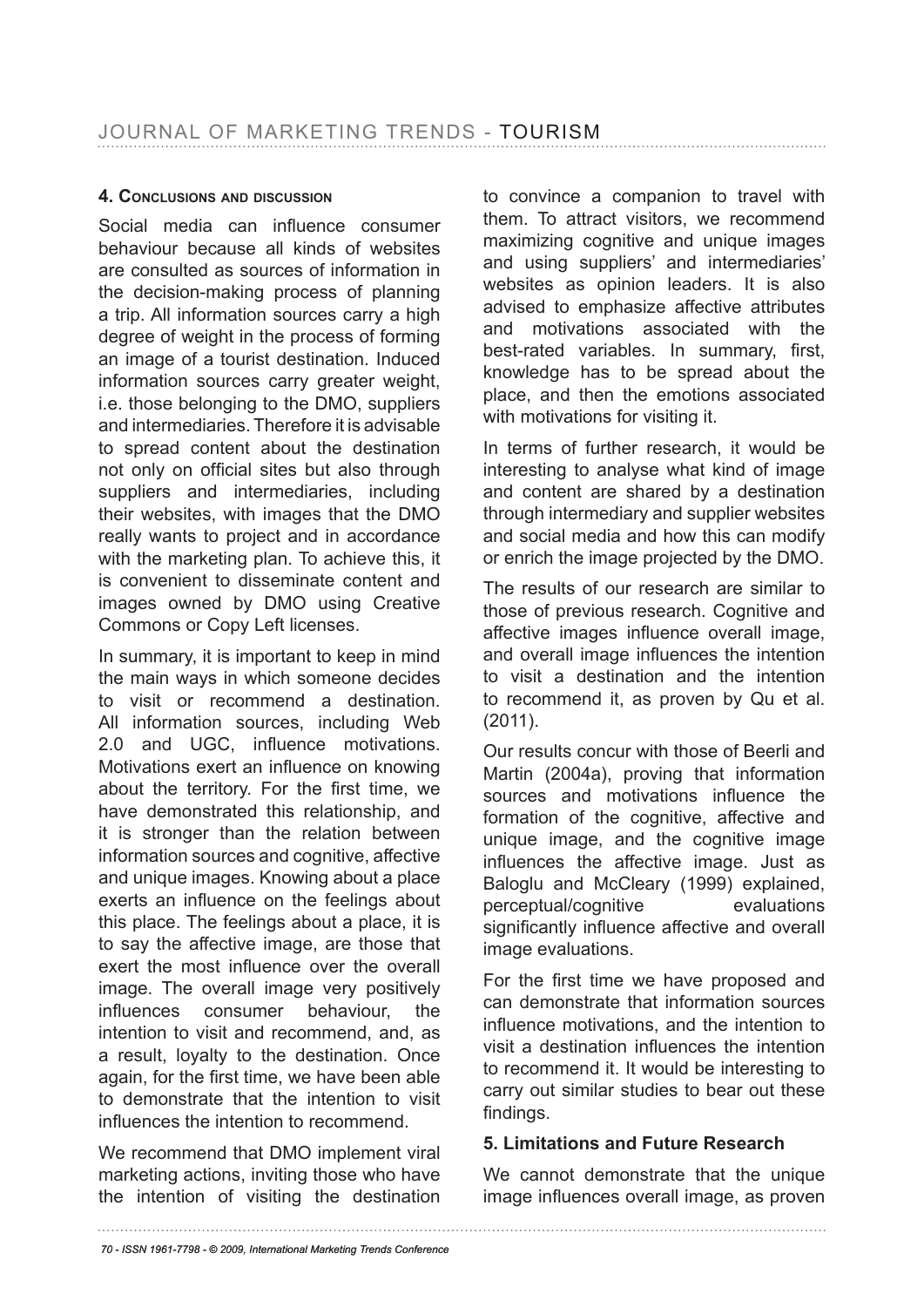### **4. conclusions anD Discussion**

Social media can infuence consumer behaviour because all kinds of websites are consulted as sources of information in the decision-making process of planning a trip. All information sources carry a high degree of weight in the process of forming an image of a tourist destination. Induced information sources carry greater weight, i.e. those belonging to the DMO, suppliers and intermediaries. Therefore it is advisable to spread content about the destination not only on official sites but also through suppliers and intermediaries, including their websites, with images that the DMO really wants to project and in accordance with the marketing plan. To achieve this, it is convenient to disseminate content and images owned by DMO using Creative Commons or Copy Left licenses.

In summary, it is important to keep in mind the main ways in which someone decides to visit or recommend a destination. All information sources, including Web 2.0 and UGC, infuence motivations. Motivations exert an infuence on knowing about the territory. For the first time, we have demonstrated this relationship, and it is stronger than the relation between information sources and cognitive, affective and unique images. Knowing about a place exerts an infuence on the feelings about this place. The feelings about a place, it is to say the affective image, are those that exert the most infuence over the overall image. The overall image very positively infuences consumer behaviour, the intention to visit and recommend, and, as a result, loyalty to the destination. Once again, for the first time, we have been able to demonstrate that the intention to visit infuences the intention to recommend.

We recommend that DMO implement viral marketing actions, inviting those who have the intention of visiting the destination

to convince a companion to travel with them. To attract visitors, we recommend maximizing cognitive and unique images and using suppliers' and intermediaries' websites as opinion leaders. It is also advised to emphasize affective attributes and motivations associated with the best-rated variables. In summary, first, knowledge has to be spread about the place, and then the emotions associated with motivations for visiting it.

In terms of further research, it would be interesting to analyse what kind of image and content are shared by a destination through intermediary and supplier websites and social media and how this can modify or enrich the image projected by the DMO.

The results of our research are similar to those of previous research. Cognitive and affective images infuence overall image, and overall image infuences the intention to visit a destination and the intention to recommend it, as proven by Qu et al. (2011).

Our results concur with those of Beerli and Martin (2004a), proving that information sources and motivations infuence the formation of the cognitive, affective and unique image, and the cognitive image infuences the affective image. Just as Baloglu and McCleary (1999) explained, perceptual/cognitive evaluations significantly influence affective and overall image evaluations.

For the frst time we have proposed and can demonstrate that information sources infuence motivations, and the intention to visit a destination infuences the intention to recommend it. It would be interesting to carry out similar studies to bear out these findings.

### **5. Limitations and Future Research**

We cannot demonstrate that the unique image infuences overall image, as proven

*<sup>70 -</sup> ISSN 1961-7798 - © 2009, International Marketing Trends Conference*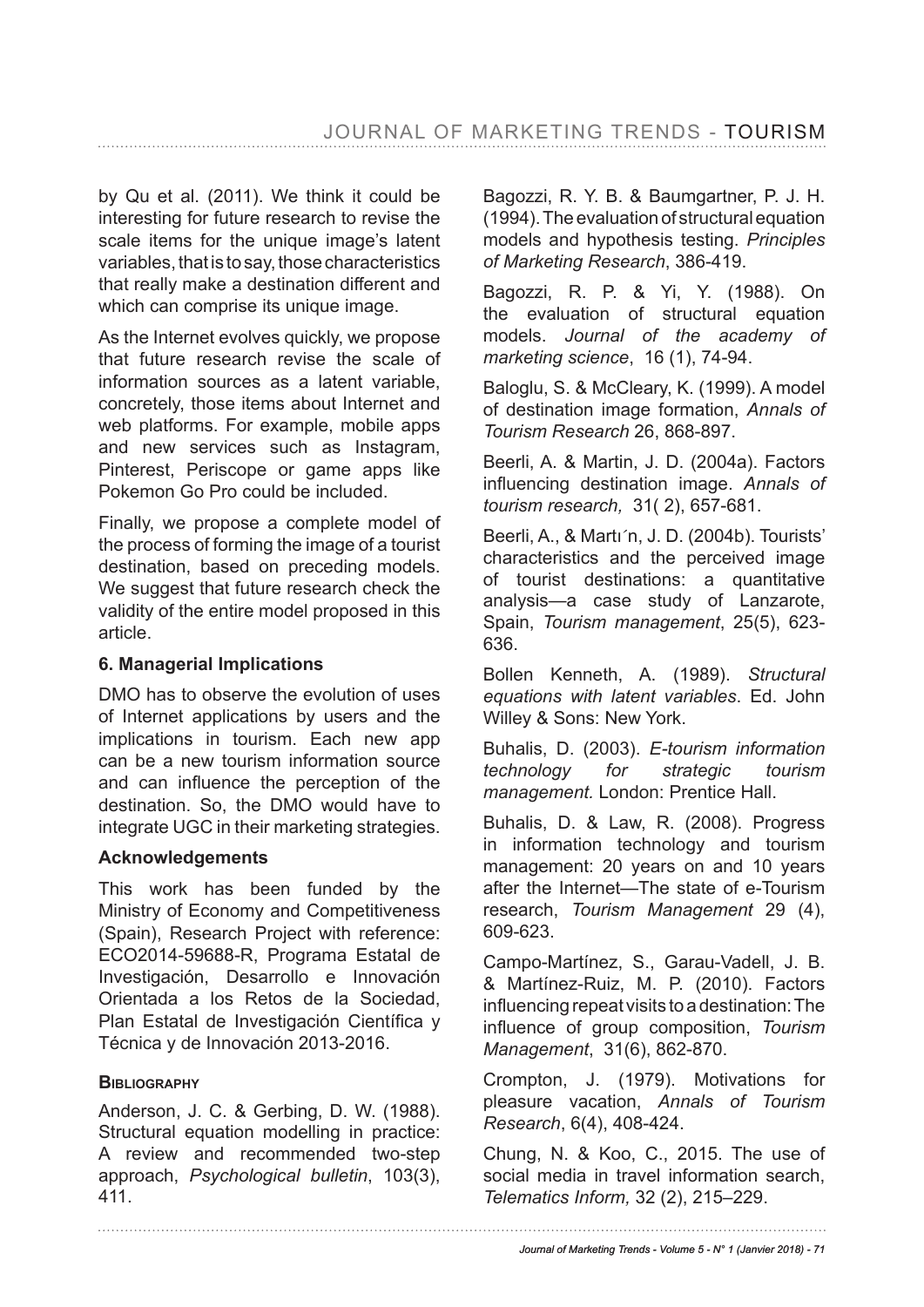by Qu et al. (2011). We think it could be interesting for future research to revise the scale items for the unique image's latent variables, that is to say, those characteristics that really make a destination different and which can comprise its unique image.

As the Internet evolves quickly, we propose that future research revise the scale of information sources as a latent variable, concretely, those items about Internet and web platforms. For example, mobile apps and new services such as Instagram, Pinterest, Periscope or game apps like Pokemon Go Pro could be included.

Finally, we propose a complete model of the process of forming the image of a tourist destination, based on preceding models. We suggest that future research check the validity of the entire model proposed in this article.

### **6. Managerial Implications**

DMO has to observe the evolution of uses of Internet applications by users and the implications in tourism. Each new app can be a new tourism information source and can infuence the perception of the destination. So, the DMO would have to integrate UGC in their marketing strategies.

### **Acknowledgements**

This work has been funded by the Ministry of Economy and Competitiveness (Spain), Research Project with reference: ECO2014-59688-R, Programa Estatal de Investigación, Desarrollo e Innovación Orientada a los Retos de la Sociedad, Plan Estatal de Investigación Científica y Técnica y de Innovación 2013-2016.

### **BiBlioGraphY**

Anderson, J. C. & Gerbing, D. W. (1988). Structural equation modelling in practice: A review and recommended two-step approach, *Psychological bulletin*, 103(3), 411.

Bagozzi, R. Y. B. & Baumgartner, P. J. H. (1994). The evaluation of structural equation models and hypothesis testing. *Principles of Marketing Research*, 386-419.

Bagozzi, R. P. & Yi, Y. (1988). On the evaluation of structural equation models. *Journal of the academy of marketing science*, 16 (1), 74-94.

Baloglu, S. & McCleary, K. (1999). A model of destination image formation, *Annals of Tourism Research* 26, 868-897.

Beerli, A. & Martin, J. D. (2004a). Factors infuencing destination image. *Annals of tourism research,* 31( 2), 657-681.

Beerli, A., & Marti<sup>n</sup>, J. D. (2004b). Tourists' characteristics and the perceived image of tourist destinations: a quantitative analysis—a case study of Lanzarote, Spain, *Tourism management*, 25(5), 623- 636.

Bollen Kenneth, A. (1989). *Structural equations with latent variables*. Ed. John Willey & Sons: New York.

Buhalis, D. (2003). *E-tourism information technology for strategic tourism management.* London: Prentice Hall.

Buhalis, D. & Law, R. (2008). Progress in information technology and tourism management: 20 years on and 10 years after the Internet—The state of e-Tourism research, *Tourism Management* 29 (4), 609-623.

Campo-Martínez, S., Garau-Vadell, J. B. & Martínez-Ruiz, M. P. (2010). Factors infuencing repeat visits to a destination: The infuence of group composition, *Tourism Management*, 31(6), 862-870.

Crompton, J. (1979). Motivations for pleasure vacation, *Annals of Tourism Research*, 6(4), 408-424.

Chung, N. & Koo, C., 2015. The use of social media in travel information search, *Telematics Inform,* 32 (2), 215–229.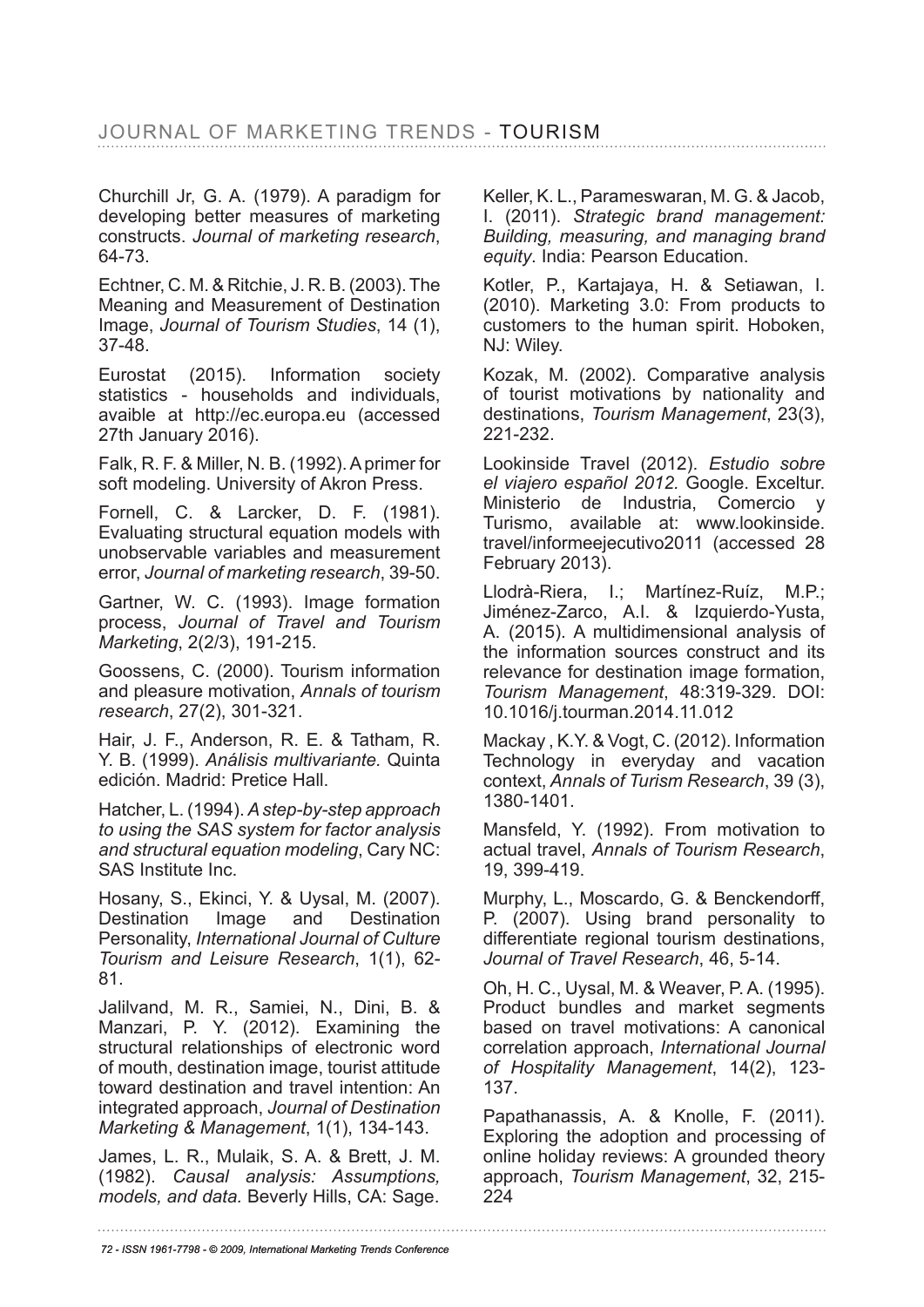Churchill Jr, G. A. (1979). A paradigm for developing better measures of marketing constructs. *Journal of marketing research*, 64-73.

Echtner, C. M. & Ritchie, J. R. B. (2003). The Meaning and Measurement of Destination Image, *Journal of Tourism Studies*, 14 (1), 37-48.

Eurostat (2015). Information society statistics - households and individuals, avaible at http://ec.europa.eu (accessed 27th January 2016).

Falk, R. F. & Miller, N. B. (1992). A primer for soft modeling. University of Akron Press.

Fornell, C. & Larcker, D. F. (1981). Evaluating structural equation models with unobservable variables and measurement error, *Journal of marketing research*, 39-50.

Gartner, W. C. (1993). Image formation process, *Journal of Travel and Tourism Marketing*, 2(2/3), 191-215.

Goossens, C. (2000). Tourism information and pleasure motivation, *Annals of tourism research*, 27(2), 301-321.

Hair, J. F., Anderson, R. E. & Tatham, R. Y. B. (1999). *Análisis multivariante.* Quinta edición. Madrid: Pretice Hall.

Hatcher, L. (1994). *A step-by-step approach to using the SAS system for factor analysis and structural equation modeling*, Cary NC: SAS Institute Inc.

Hosany, S., Ekinci, Y. & Uysal, M. (2007). Destination Image and Destination Personality, *International Journal of Culture Tourism and Leisure Research*, 1(1), 62- 81.

Jalilvand, M. R., Samiei, N., Dini, B. & Manzari, P. Y. (2012). Examining the structural relationships of electronic word of mouth, destination image, tourist attitude toward destination and travel intention: An integrated approach, *Journal of Destination Marketing & Management*, 1(1), 134-143.

James, L. R., Mulaik, S. A. & Brett, J. M. (1982). *Causal analysis: Assumptions, models, and data.* Beverly Hills, CA: Sage.

Keller, K. L., Parameswaran, M. G. & Jacob, I. (2011). *Strategic brand management: Building, measuring, and managing brand equity*. India: Pearson Education.

Kotler, P., Kartajaya, H. & Setiawan, I. (2010). Marketing 3.0: From products to customers to the human spirit. Hoboken, NJ: Wiley.

Kozak, M. (2002). Comparative analysis of tourist motivations by nationality and destinations, *Tourism Management*, 23(3), 221-232.

Lookinside Travel (2012). *Estudio sobre el viajero español 2012.* Google. Exceltur. Ministerio de Industria, Comercio Turismo, available at: www.lookinside. travel/informeejecutivo2011 (accessed 28 February 2013).

Llodrà-Riera, I.; Martínez-Ruíz, M.P.; Jiménez-Zarco, A.I. & Izquierdo-Yusta, A. (2015). A multidimensional analysis of the information sources construct and its relevance for destination image formation, *Tourism Management*, 48:319-329. DOI: 10.1016/j.tourman.2014.11.012

Mackay , K.Y. & Vogt, C. (2012). Information Technology in everyday and vacation context, *Annals of Turism Research*, 39 (3), 1380-1401.

Mansfeld, Y. (1992). From motivation to actual travel, *Annals of Tourism Research*, 19, 399-419.

Murphy, L., Moscardo, G. & Benckendorff, P. (2007). Using brand personality to differentiate regional tourism destinations, *Journal of Travel Research*, 46, 5-14.

Oh, H. C., Uysal, M. & Weaver, P. A. (1995). Product bundles and market segments based on travel motivations: A canonical correlation approach, *International Journal of Hospitality Management*, 14(2), 123- 137.

Papathanassis, A. & Knolle, F. (2011). Exploring the adoption and processing of online holiday reviews: A grounded theory approach, *Tourism Management*, 32, 215- 224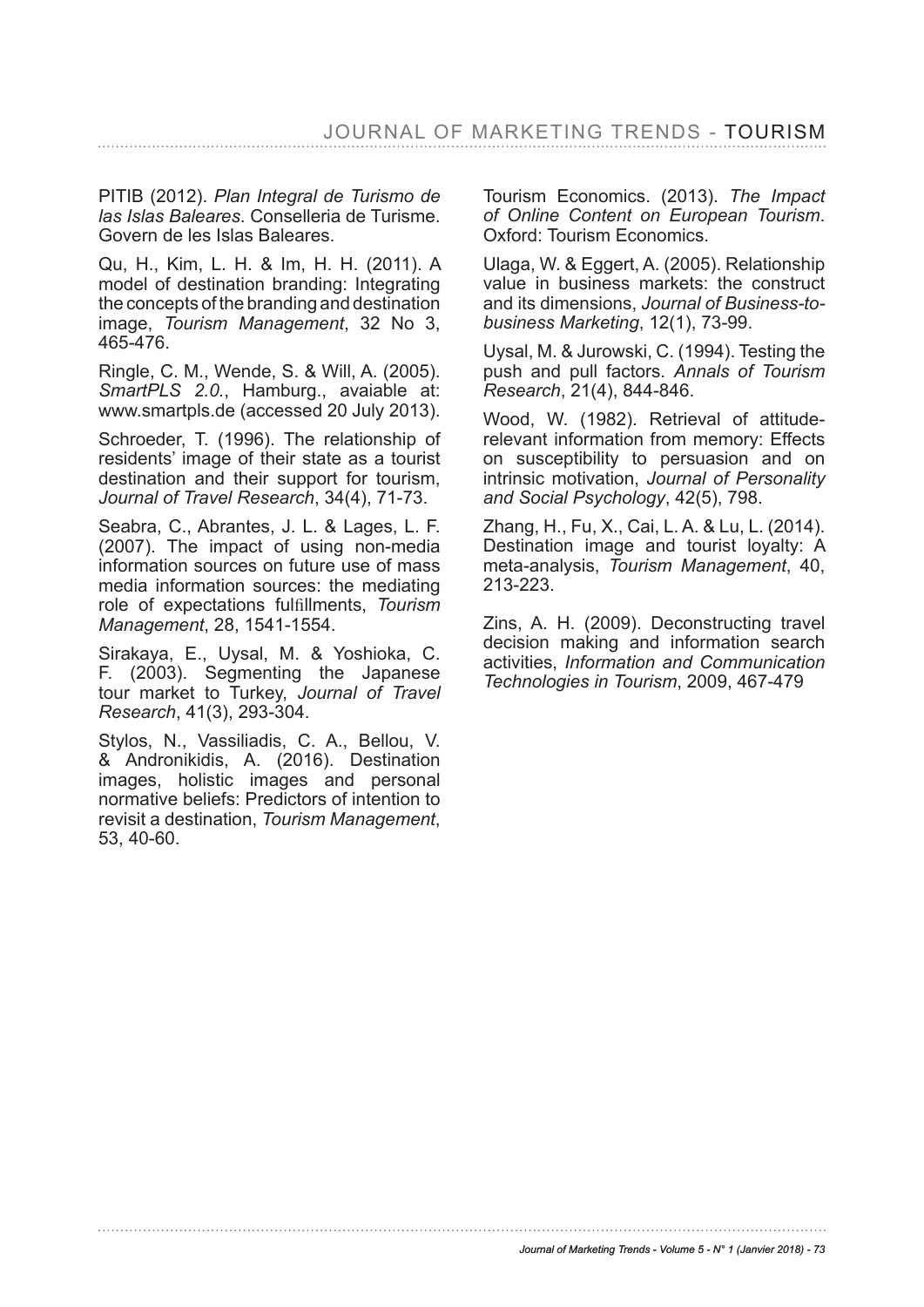PITIB (2012). *Plan Integral de Turismo de las Islas Baleares*. Conselleria de Turisme. Govern de les Islas Baleares.

Qu, H., Kim, L. H. & Im, H. H. (2011). A model of destination branding: Integrating the concepts of the branding and destination image, *Tourism Management*, 32 No 3, 465-476.

Ringle, C. M., Wende, S. & Will, A. (2005). *SmartPLS 2.0.*, Hamburg., avaiable at: www.smartpls.de (accessed 20 July 2013).

Schroeder, T. (1996). The relationship of residents' image of their state as a tourist destination and their support for tourism, *Journal of Travel Research*, 34(4), 71-73.

Seabra, C., Abrantes, J. L. & Lages, L. F. (2007). The impact of using non-media information sources on future use of mass media information sources: the mediating role of expectations fulfillments, *Tourism Management*, 28, 1541-1554.

Sirakaya, E., Uysal, M. & Yoshioka, C. F. (2003). Segmenting the Japanese tour market to Turkey, *Journal of Travel Research*, 41(3), 293-304.

Stylos, N., Vassiliadis, C. A., Bellou, V. & Andronikidis, A. (2016). Destination images, holistic images and personal normative beliefs: Predictors of intention to revisit a destination, *Tourism Management*, 53, 40-60.

Tourism Economics. (2013). *The Impact of Online Content on European Tourism*. Oxford: Tourism Economics.

Ulaga, W. & Eggert, A. (2005). Relationship value in business markets: the construct and its dimensions, *Journal of Business-tobusiness Marketing*, 12(1), 73-99.

Uysal, M. & Jurowski, C. (1994). Testing the push and pull factors. *Annals of Tourism Research*, 21(4), 844-846.

Wood, W. (1982). Retrieval of attituderelevant information from memory: Effects on susceptibility to persuasion and on intrinsic motivation, *Journal of Personality and Social Psychology*, 42(5), 798.

Zhang, H., Fu, X., Cai, L. A. & Lu, L. (2014). Destination image and tourist loyalty: A meta-analysis, *Tourism Management*, 40, 213-223.

Zins, A. H. (2009). Deconstructing travel decision making and information search activities, *Information and Communication Technologies in Tourism*, 2009, 467-479